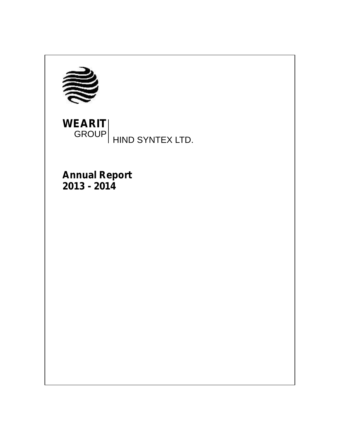

HIND SYNTEX LTD. **WEARIT** GROUP

**Annual Report 2013 - 2014**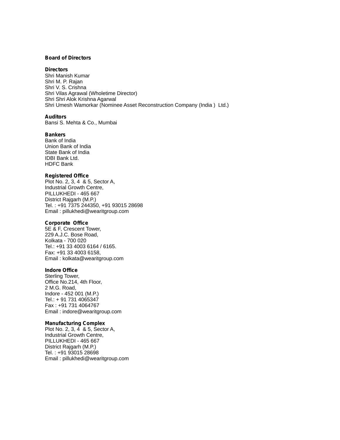### **Board of Directors**

### **Directors**

Shri Manish Kumar Shri M. P. Rajan Shri V. S. Crishna Shri Vilas Agrawal (Wholetime Director) Shri Shri Alok Krishna Agarwal Shri Umesh Wamorkar (Nominee Asset Reconstruction Company (India ) Ltd.)

### **Auditors**

Bansi S. Mehta & Co., Mumbai

### **Bankers**

Bank of India Union Bank of India State Bank of India IDBI Bank Ltd. HDFC Bank

### **Registered Office**

Plot No. 2, 3, 4 & 5, Sector A, Industrial Growth Centre, PILLUKHEDI - 465 667 District Rajgarh (M.P.) Tel. : +91 7375 244350, +91 93015 28698 Email : pillukhedi@wearitgroup.com

### **Corporate Office**

5E & F, Crescent Tower, 229 A.J.C. Bose Road, Kolkata - 700 020 Tel.: +91 33 4003 6164 / 6165. Fax: +91 33 4003 6158, Email : kolkata@wearitgroup.com

### **Indore Office**

Sterling Tower, Office No.214, 4th Floor, 2 M.G. Road, Indore - 452 001 (M.P.) Tel.: + 91 731 4065347 Fax : +91 731 4064767 Email : indore@wearitgroup.com

### **Manufacturing Complex**

Plot No. 2, 3, 4 & 5, Sector A, Industrial Growth Centre, PILLUKHEDI - 465 667 District Rajgarh (M.P.) Tel. : +91 93015 28698 Email : pillukhedi@wearitgroup.com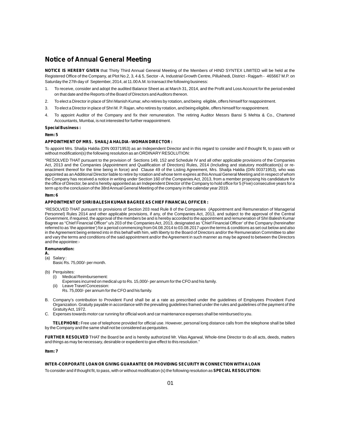### **Notice of Annual General Meeting**

**NOTICE IS HEREBY GIVEN** that Thirty Third Annual General Meeting of the Members of HIND SYNTEX LIMITED will be held at the Registered Office of the Company, at Plot No.2, 3, 4 & 5, Sector - A, Industrial Growth Centre, Pillukhedi, District - Rajgarh - 465667 M.P. on Saturday the 27th day of September, 2014, at 11.00 A.M. to transact the following business:

- 1. To receive, consider and adopt the audited Balance Sheet as at March 31, 2014, and the Profit and Loss Account for the period ended on that date and the Reports of the Board of Directors and Auditors thereon.
- 2. To elect a Director in place of Shri Manish Kumar, who retires by rotation, and being eligible, offers himself for reappointment.
- 3. To elect a Director in place of Shri M. P. Rajan, who retires by rotation, and being eligible, offers himself for reappointment.
- 4. To appoint Auditor of the Company and fix their remuneration. The retiring Auditor Messrs Bansi S Mehta & Co., Chartered Accountants, Mumbai, is not interested for further reappointment.

#### **Special Business :**

**Item: 5**

#### **APPOINTMENT OF MRS. SHAILJAHALDIA- WOMAN DIRECTOR :**

To appoint Mrs. Shailja Haldia (DIN 00371953) as an Independent Director and in this regard to consider and if thought fit, to pass with or without modification(s) the following resolution as an ORDINARY RESOLUTION:

"RESOLVED THAT pursuant to the provision of Sections 149, 152 and Schedule IV and all other applicable provisions of the Companies Act, 2013 and the Companies (Appointment and Qualification of Directors) Rules, 2014 (Including and statutory modification(s) or reenactment thereof for the time being in force) and Clause 49 of the Listing Agreement, Mrs. Shailja Haldia (DIN 00371953), who was appointed as an Additional Director liable to retire by rotation and whose term expires at this Annual General Meeting and in respect of whom the Company has received a notice in writing under Section 160 of the Companies Act, 2013, from a member proposing his candidature for the office of Director, be and is hereby appointed as an Independent Director of the Company to hold office for 5 (Five) consecutive years for a term up to the conclusion of the 38rd Annual General Meeting of the company in the calendar year 2019.

### **Item: 6**

#### **APPOINTMENT OF SHRI BALESH KUMAR BAGREE AS CHIEF FINANCIALOFFICER :**

"RESOLVED THAT pursuant to provisions of Section 203 read Rule 8 of the Companies (Appointment and Remuneration of Managerial Personnel) Rules 2014 and other applicable provisions, if any, of the Companies Act, 2013, and subject to the approval of the Central Government, if required, the approval of the members be and is hereby accorded to the appointment and remuneration of Shri Balesh Kumar Bagree as "Chief Financial Officer" u/s 203 of the Companies Act, 2013, designated as 'Chief Financial Officer' of the Company (hereinafter referred to as 'the appointee') for a period commencing from 04.08.2014 to 03.08.2017 upon the terms & conditions as set out below and also in the Agreement being entered into in this behalf with him, with liberty to the Board of Directors and/or the Remuneration Committee to alter and vary the terms and conditions of the said appointment and/or the Agreement in such manner as may be agreed to between the Directors and the appointee:-

#### **Remuneration:**

- **A.**
- (a) Salary :
	- Basic Rs. 75,000/- per month.
- (b) Perquisites:
	- (i) Medical Reimbursement:
		- Expenses incurred on medical up to Rs. 15,000/- per annum for the CFO and his family.
	- (ii) Leave Travel Concession: Rs. 75,000/- per annum for the CFO and his family.
- B. Company's contribution to Provident Fund shall be at a rate as prescribed under the guidelines of Employees Provident Fund Organization. Gratuity payable in accordance with the prevailing guidelines framed under the rules and guidelines of the payment of the Gratuity Act, 1972.
- Expenses towards motor car running for official work and car maintenance expenses shall be reimbursed to you.

**TELEPHONE:** Free use of telephone provided for official use. However, personal long distance calls from the telephone shall be billed by the Company and the same shall not be considered as perquisites.

**FURTHER RESOLVED** THAT the Board be and is hereby authorized Mr. Vilas Agarwal, Whole-time Director to do all acts, deeds, matters and things as may be necessary, desirable or expedient to give effect to this resolution."

**Item: 7**

### **INTER-CORPORATE LOAN OR GIVING GUARANTEE OR PROVIDING SECURITYIN CONNECTION WITH ALOAN**

To consider and if thought fit, to pass, with or without modification (s) the following resolution as **SPECIAL RESOLUTION:**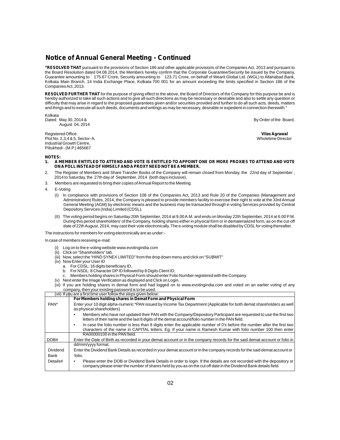**"RESOLVED THAT** pursuant to the provisions of Section 186 and other applicable provisions of the Companies Act, 2013 and pursuant to the Board Resolution dated 04.08.2014, the Members hereby confirm that the Corporate Guarantee/Security be issued by the Company, Guarantee amounting to ` 175.67 Crore, Security amounting to ` 123.71 Crore, on behalf of Wearit Global Ltd. (WGL) to Allahabad Bank, Kolkata Main Branch, 14 India Exchange Place, Kolkata-700 001 for an amount exceeding the limits specified in Section 186 of the Companies Act, 2013.

**RESOLVED FURTHER THAT** for the purpose of giving effect to the above, the Board of Directors of the Company for this purpose be and is hereby authorized to take all such actions and to give all such directions as may be necessary or desirable and also to settle any question or difficulty that may arise in regard to the proposed guarantees given and/or securities provided and further to do all such acts, deeds, matters and things and to execute all such deeds, documents and writings as may be necessary, desirable or expedient in connection therewith."

Kolkata Dated: May 30, 2014 & Board, and the Board, and the Board, and the Board, and the Board, and the Board, and the Board, August 04, 2014

Registered Office: **Vilas Agrawal** Plot No. 2,3,4 & 5, Sector-A, Industrial Growth Centre, Pillukhedi - (M.P.) 465667

**NOTES:**

- **1. A MEMBER ENTITLED TO ATTEND AND VOTE IS ENTITLED TO APPOINT ONE OR MORE PROXIES TO ATTEND AND VOTE ON APOLLINSTEAD OF HIMSELF AND APROXY NEED NOT BE AMEMBER.**
- 2. The Register of Members and Share Transfer Books of the Company will remain closed from Monday, the 22nd day of September , 2014 to Saturday, the 27th day of September, 2014 (both days inclusive).
- 3. Members are requested to bring their copies of Annual Report to the Meeting.
- 4. E-Voting
	- (I) In compliance with provisions of Section 108 of the Companies Act, 2013 and Rule 20 of the Companies (Management and Administration) Rules, 2014, the Company is pleased to provide members facility to exercise their right to vote at the 33rd Annual General Meeting (AGM) by electronic means and the business may be transacted through e-voting Services provided by Central Depository Services (India) Limited (CDSL).
	- (II) The voting period begins on Saturday 20th September, 2014 at 9.00 A.M. and ends on Monday 22th September, 2014 at 6.00 P.M. During this period shareholders' of the Company, holding shares either in physical form or in dematerialized form, as on the cut-off date of 22th August, 2014, may cast their vote electronically. The e-voting module shall be disabled by CDSLfor voting thereafter.

The instructions for members for voting electronically are as under:-

In case of members receiving e-mail:

- Log on to the e-voting website www.evotingindia.com
- (ii) Click on "Shareholders" tab.
- (iii) Now, select the "HIND SYNEX LIMITED" from the drop down menu and click on "SUBMIT"
- (iv) Now Enter your User ID
	- a. For CDSL: 16 digits beneficiary ID,
	- b. For NSDL: 8 Character DPID followed by 8 Digits Client ID,
- c. Members holding shares in Physical Form should enter Folio Number registered with the Company.
- (v) Next enter the Image Verification as displayed and Click on Login.
- (vi) If you are holding shares in demat form and had logged on to www.evotingindia.com and voted on an earlier voting of any company, then your existing password is to be used.

|                  | (vii) If you are a first time user follow the steps given below:                                                                                                                                                                            |
|------------------|---------------------------------------------------------------------------------------------------------------------------------------------------------------------------------------------------------------------------------------------|
|                  | For Members holding shares in Demat Form and Physical Form                                                                                                                                                                                  |
| PAN <sup>*</sup> | Enter your 10 digit alpha-numeric *PAN issued by Income Tax Department (Applicable for both demat shareholders as well<br>as physical shareholders)                                                                                         |
|                  | Members who have not updated their PAN with the Company/Depository Participant are requested to use the first two<br>letters of their name and the last 8 digits of the demat account/folio number in the PAN field.                        |
|                  | In case the folio number is less than 8 digits enter the applicable number of 0's before the number after the first two<br>characters of the name in CAPITAL letters. Eg. If your name is Ramesh Kumar with folio number 100 then enter     |
|                  | RA00000100 in the PAN field.                                                                                                                                                                                                                |
| DOB#             | Enter the Date of Birth as recorded in your demat account or in the company records for the said demat account or folio in                                                                                                                  |
|                  | dd/mm/yyyy format.                                                                                                                                                                                                                          |
| Dividend         | Enter the Dividend Bank Details as recorded in your demat account or in the company records for the said demat account or                                                                                                                   |
| Bank             | folio.                                                                                                                                                                                                                                      |
| Details#         | Please enter the DOB or Dividend Bank Details in order to login. If the details are not recorded with the depository or<br>company please enter the number of shares held by you as on the cut off date in the Dividend Bank details field. |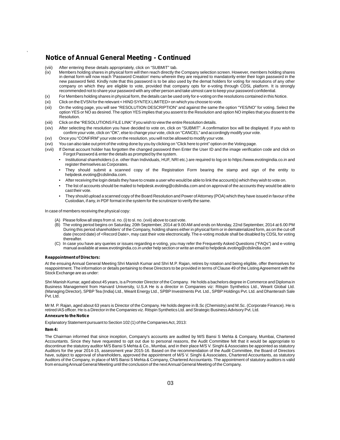- (viii) After entering these details appropriately, click on "SUBMIT" tab.<br>(ix) Members holding shares in physical form will then reach directly th
- Members holding shares in physical form will then reach directly the Company selection screen. However, members holding shares in demat form will now reach 'Password Creation' menu wherein they are required to mandatorily enter their login password in the new password field. Kindly note that this password is to be also used by the demat holders for voting for resolutions of any other company on which they are eligible to vote, provided that company opts for e-voting through CDSL platform. It is strongly recommended not to share your password with any other person and take utmost care to keep your password confidential.
- (x) For Members holding shares in physical form, the details can be used only for e-voting on the resolutions contained in this Notice.
- (xi) Click on the EVSN for the relevant < HIND SYNTEX LIMITED> on which you choose to vote.
- (xii) On the voting page, you will see "RESOLUTION DESCRIPTION" and against the same the option "YES/NO" for voting. Select the option YES or NO as desired. The option YES implies that you assent to the Resolution and option NO implies that you dissent to the Resolution.
- (xiii) Click on the "RESOLUTIONS FILE LINK" if you wish to view the entire Resolution details.
- (xiv) After selecting the resolution you have decided to vote on, click on "SUBMIT". A confirmation box will be displayed. If you wish to confirm your vote, click on "OK", else to change your vote, click on "CANCEL" and accordingly modify your vote.
- (xv) Once you "CONFIRM" your vote on the resolution, you will not be allowed to modify your vote.
- (xvi) You can also take out print of the voting done by you by clicking on "Click here to print" option on the Voting page.
- (xvii) If Demat account holder has forgotten the changed password then Enter the User ID and the image verification code and click on Forgot Password & enter the details as prompted by the system.
	- Institutional shareholders (i.e. other than Individuals, HUF, NRI etc.) are required to log on to https://www.evotingindia.co.in and register themselves as Corporates.
	- They should submit a scanned copy of the Registration Form bearing the stamp and sign of the entity to helpdesk.evoting@cdslindia.com.
	- After receiving the login details they have to create a user who would be able to link the account(s) which they wish to vote on.
	- The list of accounts should be mailed to helpdesk.evoting@cdslindia.com and on approval of the accounts they would be able to cast their vote.
	- They should upload a scanned copy of the Board Resolution and Power of Attorney (POA) which they have issued in favour of the Custodian, if any, in PDF format in the system for the scrutinizer to verify the same.

In case of members receiving the physical copy:

- (A) Please follow all steps from sl. no. (i) to sl. no. (xvii) above to cast vote.
- (B) The voting period begins on Saturday, 20th September, 2014 at 9.00 AM and ends on Monday, 22nd September, 2014 at 6.00 PM During this period shareholders' of the Company, holding shares either in physical form or in dematerialized form, as on the cut-off date (record date) of <Record Date>, may cast their vote electronically. The e-voting module shall be disabled by CDSL for voting thereafter.
- (C) In case you have any queries or issues regarding e-voting, you may refer the Frequently Asked Questions ("FAQs") and e-voting manual available at www.evotingindia.co.in under help section or write an email to helpdesk.evoting@cdslindia.com

#### **Reappointment of Directors:**

At the ensuing Annual General Meeting Shri Manish Kumar and Shri M.P. Rajan, retires by rotation and being eligible, offer themselves for reappointment. The information or details pertaining to these Directors to be provided in terms of Clause 49 of the Listing Agreement with the Stock Exchange are as under:

Shri Manish Kumar, aged about 45 years, is a Promoter Director of the Company. He holds a bachelors degree in Commerce and Diploma in Business Management from Harvard University, U.S.A He is a director in Companies viz: Ritspin Synthetics Ltd., Wearit Global Ltd. (Managing Director), SPBPTea (India) Ltd., Wearit Energy Ltd., SPBP Investments Pvt. Ltd., SPBP Holdings Pvt. Ltd. and Dhanterash Sale Pvt. Ltd.

Mr M. P. Rajan, aged about 63 years is Director of the Company. He holds degree in B.Sc (Chemistry) and M.Sc. (Corporate Finance). He is retired IAS officer. He is a Director in the Companies viz. Ritspin Synthetics Ltd. and Strategic Business Advisory Pvt. Ltd.

#### **Annexure to the Notice**

Explanatory Statement pursuant to Section 102 (1) of the Companies Act, 2013:

#### **Item 4:**

`

The Chairman informed that since inception, Company's accounts are audited by M/S Bansi S Mehta & Company, Mumbai, Chartered Accountants. Since they have requested to opt out due to personal reasons, the Audit Committee felt that it would be appropriate to discontinue the statutory auditor M/S Bansi S Mehta & Co., Mumbai, and in their place M/S V. Singhi & Associates be appointed as statutory Auditors for the year 2014-15, assessment year 2015-16. Based on the recommendation of the Audit Committee, the Board of Directors have, subject to approval of shareholders, approved the appointment of M/S V. Singhi & Associates, Chartered Accountants, as statutory Auditors of the Company, in place of M/S Bansi S Mehta & Company, Chartered Accountants. The appointment of statutory auditors is valid from ensuing Annual General Meeting until the conclusion of the next Annual General Meeting of the Company.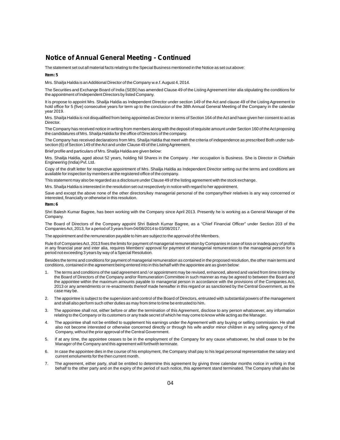The statement set out all material facts relating to the Special Business mentioned in the Notice as set out above:

#### **Item: 5**

Mrs. Shailja Haldia is an Additional Director of the Company w.e.f. August 4, 2014.

The Securities and Exchange Board of India (SEBI) has amended Clause 49 of the Listing Agreement inter alia stipulating the conditions for the appointment of Independent Directors by listed Company.

It is propose to appoint Mrs. Shailja Haldia as Independent Director under section 149 of the Act and clause 49 of the Listing Agreement to hold office for 5 (five) consecutive years for term up to the conclusion of the 38th Annual General Meeting of the Company in the calendar year 2019.

Mrs. Shailja Haldia is not disqualified from being appointed as Director in terms of Section 164 of the Act and have given her consent to act as **Director** 

The Company has received notice in writing from members along with the deposit of requisite amount under Section 160 of the Act proposing the candidatures of Mrs. Shailja Haldia for the office of Directors of the company.

The Company has received declarations from Mrs. Shailja Haldia that meet with the criteria of independence as prescribed Both under subsection (6) of Section 149 of the Act and under Clause 49 of the Listing Agreement.

Brief profile and particulars of Mrs. Shailja Haldia are given below:

Mrs. Shailja Haldia, aged about 52 years, holding Nil Shares in the Company . Her occupation is Business. She is Director in Chieftain Engineering (India) Pvt. Ltd.

Copy of the draft letter for respective appointment of Mrs. Shailja Haldia as Independent Director setting out the terms and conditions are available for inspection by members at the registered office of the company.

This statement may also be regarded as a disclosure under Clause 49 of the listing agreement with the stock exchange.

Mrs. Shailja Haldia is interested in the resolution set out respectively in notice with regard to her appointment.

Save and except the above none of the other directors/key managerial personal of the company/their relatives is any way concerned or interested, financially or otherwise in this resolution.

### **Item: 6**

Shri Balesh Kumar Bagree, has been working with the Company since April 2013. Presently he is working as a General Manager of the Company.

The Board of Directors of the Company appoint Shri Balesh Kumar Bagree, as a "Chief Financial Officer" under Section 203 of the Companies Act, 2013, for a period of 3 years from 04/08/2014 to 03/08/2017.

The appointment and the remuneration payable to him are subject to the approval of the Members.

Rule 8 of Companies Act, 2013 fixes the limits for payment of managerial remuneration by Companies in case of loss or inadequacy of profits in any financial year and inter alia, requires Members' approval for payment of managerial remuneration to the managerial person for a period not exceeding 3 years by way of a Special Resolution.

Besides the terms and conditions for payment of managerial remuneration as contained in the proposed resolution, the other main terms and conditions, contained in the agreement being entered into in this behalf with the appointee are as given below:

- 1. The terms and conditions of the said agreement and / or appointment may be revised, enhanced, altered and varied from time to time by the Board of Directors of the Company and/or Remuneration Committee in such manner as may be agreed to between the Board and the appointee within the maximum amounts payable to managerial person in accordance with the provisions of the Companies Act, 2013 or any amendments or re-enactments thereof made hereafter in this regard or as sanctioned by the Central Government, as the case may be.
- 2. The appointee is subject to the supervision and control of the Board of Directors, entrusted with substantial powers of the management and shall also perform such other duties as may from time to time be entrusted to him.
- 3. The appointee shall not, either before or after the termination of this Agreement, disclose to any person whatsoever, any information relating to the Company or its customers or any trade secret of which he may come to know while acting as the Manager.
- 4. The appointee shall not be entitled to supplement his earnings under the Agreement with any buying or selling commission. He shall also not become interested or otherwise concerned directly or through his wife and/or minor children in any selling agency of the Company, without the prior approval of the Central Government.
- 5. If at any time, the appointee ceases to be in the employment of the Company for any cause whatsoever, he shall cease to be the Manager of the Company and this agreement will forthwith terminate.
- 6. In case the appointee dies in the course of his employment, the Company shall pay to his legal personal representative the salary and current emoluments for the then current month.
- 7. The agreement, either party, shall be entitled to determine this agreement by giving three calendar months notice in writing in that behalf to the other party and on the expiry of the period of such notice, this agreement stand terminated. The Company shall also be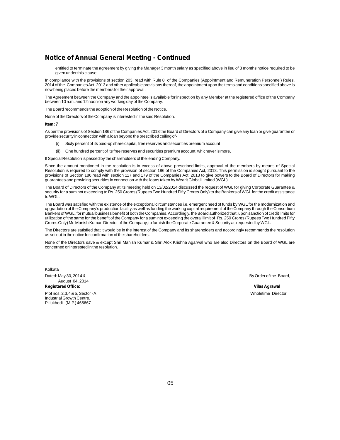entitled to terminate the agreement by giving the Manager 3 month salary as specified above in lieu of 3 months notice required to be given under this clause.

In compliance with the provisions of section 203, read with Rule 8 of the Companies (Appointment and Remuneration Personnel) Rules, 2014 of the Companies Act, 2013 and other applicable provisions thereof, the appointment upon the terms and conditions specified above is now being placed before the members for their approval.

The Agreement between the Company and the appointee is available for inspection by any Member at the registered office of the Company between 10 a.m. and 12 noon on any working day of the Company.

The Board recommends the adoption of the Resolution of the Notice.

None of the Directors of the Company is interested in the said Resolution.

**Item: 7**

As per the provisions of Section 186 of the Companies Act, 2013 the Board of Directors of a Company can give any loan or give guarantee or provide security in connection with a loan beyond the prescribed ceiling of-

- Sixty percent of its paid-up share capital, free reserves and securities premium account
- (ii) One hundred percent of its free reserves and securities premium account, whichever is more,

If Special Resolution is passed by the shareholders of the lending Company.

Since the amount mentioned in the resolution is in excess of above prescribed limits, approval of the members by means of Special Resolution is required to comply with the provision of section 186 of the Companies Act, 2013. This permission is sought pursuant to the provisions of Section 186 read with section 117 and 179 of the Companies Act, 2013 to give powers to the Board of Directors for making guarantees and providing securities in connection with the loans taken by Wearit Global Limited (WGL).

The Board of Directors of the Company at its meeting held on 13/02/2014 discussed the request of WGL for giving Corporate Guarantee & security for a sum not exceeding to Rs. 250 Crores (Rupees Two Hundred Fifty Crores Only) to the Bankers of WGL for the credit assistance to WGL.

The Board was satisfied with the existence of the exceptional circumstances i.e. emergent need of funds by WGL for the modernization and upgradation of the Company's production facility as well as funding the working capital requirement of the Company through the Consortium Bankers of WGL, for mutual business benefit of both the Companies. Accordingly, the Board authorized that, upon sanction of credit limits for utilization of the same for the benefit of the Company for a sum not exceeding the overall limit of Rs. 250 Crores (Rupees Two Hundred Fifty Crores Only) Mr. Manish Kumar, Director of the Company, to furnish the Corporate Guarantee & Security as requested by WGL.

The Directors are satisfied that it would be in the interest of the Company and its shareholders and accordingly recommends the resolution as set out in the notice for confirmation of the shareholders.

None of the Directors save & except Shri Manish Kumar & Shri Alok Krishna Agarwal who are also Directors on the Board of WGL are concerned or interested in the resolution.

Kolkata

Dated: May 30, 2014 & By Order of the Board, August 04, 2014

Plot nos. 2,3,4 & 5, Sector - A Wholetime Director Industrial Growth Centre, Pillukhedi - (M.P.) 465667

**Registered Office: Vilas Agrawal**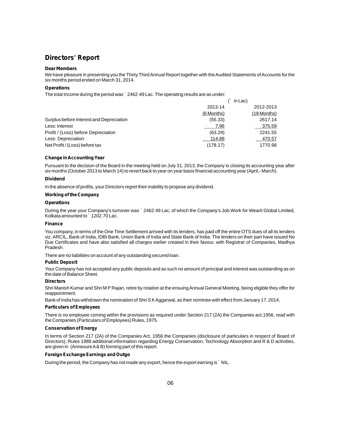### **Directors' Report**

### **Dear Members**

We have pleasure in presenting you the Thirty Third Annual Report together with the Audited Statements of Accounts for the six months period ended on March 31, 2014.

### **Operations**

The total Income during the period was ` 2462.49 Lac. The operating results are as under:

|                                          |            | in Lac)       |
|------------------------------------------|------------|---------------|
|                                          | 2013-14    | 2012-2013     |
|                                          | (6 Months) | $(18$ Months) |
| Surplus before Interest and Depreciation | (55.33)    | 2617.14       |
| Less: Interest                           | 7.96       | 375.59        |
| Profit / (Loss) before Depreciation      | (63.29)    | 2241.55       |
| Less: Depreciation                       | 114.88     | 470.57        |
| Net Profit / (Loss) before tax           | (178.17)   | 1770.98       |

#### **Change in Accounting Year**

Pursuant to the decision of the Board in the meeting held on July 31, 2013, the Company is closing its accounting year after six months (October 2013 to March 14) to revert back to year on year basis financial accounting year (April,- March).

#### **Dividend**

In the absence of profits, your Directors regret their inability to propose any dividend.

### **Working of the Company**

### **Operations**

During the year your Company's turnover was ` 2462.49 Lac, of which the Company's Job Work for Wearit Global Limited, Kolkata amounted to ` 1202.70 Lac.

#### **Finance**

You company, in terms of the One Time Settlement arrived with its lenders, has paid off the entire OTS dues of all its lenders viz. ARCIL, Bank of India, IDBI Bank, Union Bank of India and State Bank of India. The lenders on their part have issued No Due Certificates and have also satisfied all charges earlier created in their favour, with Registrar of Companies, Madhya Pradesh.

There are no liabilities on account of any outstanding secured loan.

#### **Public Deposit**

Your Company has not accepted any public deposits and as such no amount of principal and interest was outstanding as on the date of Balance Sheet.

### **Directors**

Shri Manish Kumar and Shri M P Rajan, retire by rotation at the ensuing Annual General Meeting, being eligible they offer for reappointment.

Bank of India has withdrawn the nomination of Shri S K Aggarwal, as their nominee with effect from January 17, 2014.

#### **Particulars of Employees**

There is no employee coming within the provisions as required under Section 217 (2A) the Companies act,1956, read with the Companies (Particulars of Employees) Rules, 1975.

### **Conservation of Energy**

In terms of Section 217 (2A) of the Companies Act, 1956 the Companies (disclosure of particulars in respect of Board of Directors), Rules 1988 additional information regarding Energy Conservation, Technology Absorption and R & D activities, are given in (Annexure A& B) forming part of this report.

### **Foreign Exchange Earnings and Outgo**

During the period, the Company has not made any export, hence the export earning is ` NIL.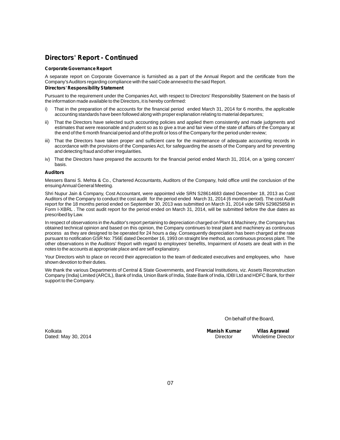# **Directors' Report -** *Continued*

### **Corporate Governance Report**

A separate report on Corporate Governance is furnished as a part of the Annual Report and the certificate from the Company's Auditors regarding compliance with the said Code annexed to the said Report.

### **Directors' Responsibility Statement**

Pursuant to the requirement under the Companies Act, with respect to Directors' Responsibility Statement on the basis of the information made available to the Directors, it is hereby confirmed:

- i) That in the preparation of the accounts for the financial period ended March 31, 2014 for 6 months, the applicable accounting standards have been followed along with proper explanation relating to material departures;
- ii) That the Directors have selected such accounting policies and applied them consistently and made judgments and estimates that were reasonable and prudent so as to give a true and fair view of the state of affairs of the Company at the end of the 6 month financial period and of the profit or loss of the Company for the period under review;
- iii) That the Directors have taken proper and sufficient care for the maintenance of adequate accounting records in accordance with the provisions of the Companies Act, for safeguarding the assets of the Company and for preventing and detecting fraud and other irregularities.
- iv) That the Directors have prepared the accounts for the financial period ended March 31, 2014, on a 'going concern' basis.

### **Auditors**

Messers Bansi S. Mehta & Co., Chartered Accountants, Auditors of the Company, hold office until the conclusion of the ensuing Annual General Meeting.

Shri Nupur Jain & Company, Cost Accountant, were appointed vide SRN S28614683 dated December 18, 2013 as Cost Auditors of the Company to conduct the cost audit for the period ended March 31, 2014 (6 months period). The cost Audit report for the 18 months period ended on September 30, 2013 was submitted on March 31, 2014 vide SRN S29825858 in Form I-XBRL . The cost audit report for the period ended on March 31, 2014, will be submitted before the due dates as prescribed by Law.

In respect of observations in the Auditor's report pertaining to depreciation charged on Plant & Machinery, the Company has obtained technical opinion and based on this opinion, the Company continues to treat plant and machinery as continuous process as they are designed to be operated for 24 hours a day. Consequently depreciation has been charged at the rate pursuant to notification GSR No: 756E dated December 16, 1993 on straight line method, as continuous process plant. The other observations in the Auditors' Report with regard to employees' benefits, Impairment of Assets are dealt with in the notes to the accounts at appropriate place and are self explanatory.

Your Directors wish to place on record their appreciation to the team of dedicated executives and employees, who have shown devotion to their duties.

We thank the various Departments of Central & State Governments, and Financial Institutions, viz. Assets Reconstruction Company (India) Limited (ARCIL), Bank of India, Union Bank of India, State Bank of India, IDBI Ltd and HDFC Bank, for their support to the Company.

On behalf of the Board,

Kolkata **Manish Kumar Vilas Agrawal** Dated: May 30, 2014 Director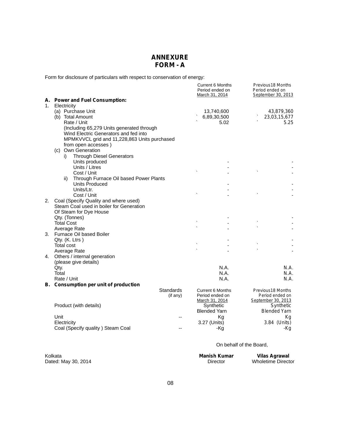# **ANNEXURE FORM - A**

Form for disclosure of particulars with respect to conservation of energy:

|    |                                               |                  | <b>Current 6 Months</b><br>Period ended on<br>March 31, 2014 | Previous 18 Months<br>Period ended on<br>September 30, 2013 |
|----|-----------------------------------------------|------------------|--------------------------------------------------------------|-------------------------------------------------------------|
|    | A. Power and Fuel Consumption:                |                  |                                                              |                                                             |
| 1. | Electricity                                   |                  |                                                              |                                                             |
|    | (a) Purchase Unit                             |                  | 13,740,600                                                   | 43,879,360                                                  |
|    | (b) Total Amount                              |                  | 6,89,30,500                                                  | 23,03,15,677                                                |
|    | Rate / Unit                                   |                  | 5.02                                                         | 5.25                                                        |
|    | (Including 65,279 Units generated through     |                  |                                                              |                                                             |
|    | Wind Electric Generators and fed into         |                  |                                                              |                                                             |
|    | MPMKVVCL grid and 11,228,863 Units purchased  |                  |                                                              |                                                             |
|    | from open accesses)                           |                  |                                                              |                                                             |
|    | (c) Own Generation                            |                  |                                                              |                                                             |
|    | <b>Through Diesel Generators</b><br>i)        |                  |                                                              |                                                             |
|    | Units produced                                |                  |                                                              |                                                             |
|    | Units / Litres                                |                  |                                                              |                                                             |
|    | Cost / Unit                                   |                  |                                                              |                                                             |
|    | Through Furnace Oil based Power Plants<br>ii) |                  |                                                              |                                                             |
|    | <b>Units Produced</b>                         |                  |                                                              |                                                             |
|    | Units/Ltr.                                    |                  |                                                              |                                                             |
|    | Cost / Unit                                   |                  |                                                              |                                                             |
| 2. | Coal (Specify Quality and where used)         |                  |                                                              |                                                             |
|    | Steam Coal used in boiler for Generation      |                  |                                                              |                                                             |
|    | Of Steam for Dye House                        |                  |                                                              |                                                             |
|    | Qty. (Tonnes)<br><b>Total Cost</b>            |                  |                                                              |                                                             |
|    |                                               |                  |                                                              |                                                             |
|    | Average Rate<br>3. Furnace Oil based Boiler   |                  |                                                              |                                                             |
|    | Qty. (K. Ltrs)                                |                  |                                                              |                                                             |
|    | <b>Total cost</b>                             |                  |                                                              |                                                             |
|    | Average Rate                                  |                  |                                                              |                                                             |
|    | 4. Others / internal generation               |                  |                                                              |                                                             |
|    | (please give details)                         |                  |                                                              |                                                             |
|    | Qty.                                          |                  | N.A.                                                         | N.A.                                                        |
|    | Total                                         |                  | N.A.                                                         | N.A.                                                        |
|    | Rate / Unit                                   |                  | N.A.                                                         | $NA$ .                                                      |
|    | B. Consumption per unit of production         |                  |                                                              |                                                             |
|    |                                               | <b>Standards</b> | <b>Current 6 Months</b>                                      | Previous 18 Months                                          |
|    |                                               | (i f any)        | Period ended on                                              | Period ended on                                             |
|    |                                               |                  | March 31, 2014                                               | September 30, 2013                                          |
|    | Product (with details)                        |                  | Synthetic                                                    | Synthetic                                                   |
|    |                                               |                  | <b>Blended Yarn</b>                                          | <b>Blended Yarn</b>                                         |
|    | Unit                                          |                  | Κq                                                           | Ka                                                          |
|    | Electricity                                   |                  | 3.27 (Units)                                                 | 3.84 (Units)                                                |
|    | Coal (Specify quality) Steam Coal             |                  | -Ka                                                          | -Ka                                                         |
|    |                                               |                  |                                                              |                                                             |

Dated: May 30, 2014

On behalf of the Board,

| Kolkata             | Manish Kumar | <b>Vilas Agrawal</b>      |
|---------------------|--------------|---------------------------|
| Dated: May 30, 2014 | Director     | <b>Wholetime Director</b> |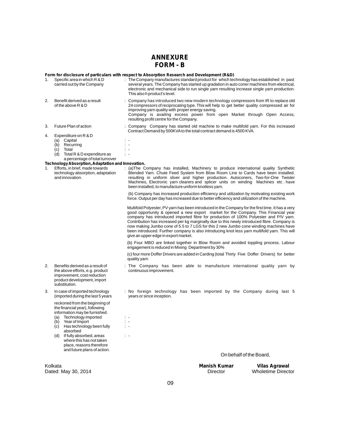# **ANNEXURE FORM - B**

### **Form for disclosure of particulars with respect to Absorption Research and Development (R&D)**

| 1. | Specific area in which R & D<br>carried out by the Company                                                                                                                             | I UIIII IUI GISCIUSUIE UI particulars With respect to Absurption Research and Development (R&D)<br>: The Company manufactures standard product for which technology has established in past<br>several years. The Company has started up gradation in auto coner machines from electrical,<br>electronic and mechanical side to run single yarn resulting increase single yarn production.<br>This also h product's level.                                                                                                                                                                                       |
|----|----------------------------------------------------------------------------------------------------------------------------------------------------------------------------------------|------------------------------------------------------------------------------------------------------------------------------------------------------------------------------------------------------------------------------------------------------------------------------------------------------------------------------------------------------------------------------------------------------------------------------------------------------------------------------------------------------------------------------------------------------------------------------------------------------------------|
| 2. | Benefit derived as a result<br>of the above R & D                                                                                                                                      | : Company has introduced two new modern technology compressors from IR to replace old<br>24 compressors of reciprocating type. This will help to get better quality compressed air for<br>improving yarn quality with proper energy saving.<br>Company is availing excess power from open Market through Open Access,                                                                                                                                                                                                                                                                                            |
| 3. | Future Plan of action                                                                                                                                                                  | resulting profit centre for the Company.<br>: Company Company has started old machine to make multifold yarn. For this increased                                                                                                                                                                                                                                                                                                                                                                                                                                                                                 |
| 4. | Expenditure on R & D                                                                                                                                                                   | Contract Demand by 500KVA to the total contract demand is 4500 KVA.                                                                                                                                                                                                                                                                                                                                                                                                                                                                                                                                              |
|    | (a) Capital                                                                                                                                                                            |                                                                                                                                                                                                                                                                                                                                                                                                                                                                                                                                                                                                                  |
|    | (b) Recurring                                                                                                                                                                          |                                                                                                                                                                                                                                                                                                                                                                                                                                                                                                                                                                                                                  |
|    | Total<br>(c)<br>(d)<br>Total R & D expenditure as                                                                                                                                      | $\mathbb{R}$                                                                                                                                                                                                                                                                                                                                                                                                                                                                                                                                                                                                     |
|    | a percentage of total turnover                                                                                                                                                         |                                                                                                                                                                                                                                                                                                                                                                                                                                                                                                                                                                                                                  |
|    | Technology Absorption, Adaptation and Innovation.                                                                                                                                      |                                                                                                                                                                                                                                                                                                                                                                                                                                                                                                                                                                                                                  |
| 1. | Efforts, in brief, made towards<br>technology absorption, adaptation<br>and innovation.                                                                                                | : (a)The Company has installed, Machinery to produce international quality Synthetic<br>Blended Yarn. Chute Feed System from Blow Room Line to Cards have been installed.<br>resulting in uniform sliver and higher production. Autoconers, Two-for-One Twister<br>Machines, Electronic yarn clearers and splicer units on winding Machines etc. have<br>been installed, to manufacture uniform knotless yarn.                                                                                                                                                                                                   |
|    |                                                                                                                                                                                        | (b) Company has increased production efficiency and utilization by motivating existing work<br>force. Output per day has increased due to better efficiency and utilization of the machine.                                                                                                                                                                                                                                                                                                                                                                                                                      |
|    |                                                                                                                                                                                        | Multifold Polyester, PV yarn has been introduced in the Company for the first time. It has a very<br>good opportunity & opened a new export market for the Company. This Financial year<br>company has introduced imported fibre for production of 100% Polyester and P/V yarn.<br>Contribution has increased per kg marginally due to this newly introduced fibre. Company is<br>now making Jumbo cone of 5.5 to 7 LGS for this 2 new Jumbo cone winding machines have<br>been introduced. Further company is also introducing knot less yarn multifold yarn. This will<br>give an upper edge in export market. |
|    |                                                                                                                                                                                        | (b) Four MBO are linked together in Blow Room and avoided toppling process. Labour<br>engagement is reduced in Mixing Department by 30%                                                                                                                                                                                                                                                                                                                                                                                                                                                                          |
|    |                                                                                                                                                                                        | (c) four more Doffer Drivers are added in Carding (total Thirty Five Doffer Drivers) for better<br>quality yarn                                                                                                                                                                                                                                                                                                                                                                                                                                                                                                  |
| 2. | Benefits derived as a result of<br>the above efforts, e.g. product<br>improvement, cost reduction<br>product development, import<br>substitution.                                      | : The Company has been able to manufacture international quality yarn by<br>continuous improvement.                                                                                                                                                                                                                                                                                                                                                                                                                                                                                                              |
| 3. | In case of imported technology<br>(imported during the last 5 years)                                                                                                                   | : No foreign technology has been imported by the Company during last 5<br>years or since inception.                                                                                                                                                                                                                                                                                                                                                                                                                                                                                                              |
|    | reckoned from the beginning of<br>the financial year), following<br>information may be furnished.<br>(a) Technology imported<br>(b) Year of Import<br>Has technology been fully<br>(c) | t -<br>$\mathbb{R}$                                                                                                                                                                                                                                                                                                                                                                                                                                                                                                                                                                                              |
|    | absorbed<br>If fully absorbed, areas<br>(d)<br>where this has not taken<br>place, reasons therefore                                                                                    | : -                                                                                                                                                                                                                                                                                                                                                                                                                                                                                                                                                                                                              |
|    | and future plans of action.                                                                                                                                                            | On behalf of the Board,                                                                                                                                                                                                                                                                                                                                                                                                                                                                                                                                                                                          |
|    | Kolkata                                                                                                                                                                                | <b>Manish Kumar</b><br><b>Vilas Agrawal</b>                                                                                                                                                                                                                                                                                                                                                                                                                                                                                                                                                                      |
|    | Dated: May 30, 2014                                                                                                                                                                    | <b>Wholetime Director</b><br>Director                                                                                                                                                                                                                                                                                                                                                                                                                                                                                                                                                                            |
|    |                                                                                                                                                                                        | 09                                                                                                                                                                                                                                                                                                                                                                                                                                                                                                                                                                                                               |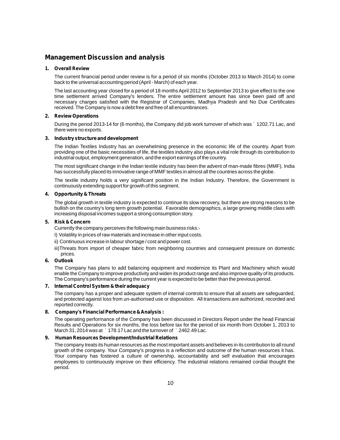### **Management Discussion and analysis**

### **1. Overall Review**

The current financial period under review is for a period of six months (October 2013 to March 2014) to come back to the universal accounting period (April - March) of each year.

The last accounting year closed for a period of 18 months April 2012 to September 2013 to give effect to the one time settlement arrived Company's lenders. The entire settlement amount has since been paid off and necessary charges satisfied with the Registrar of Companies, Madhya Pradesh and No Due Certificates received. The Company is now a debt free and free of all encumbrances.

### **2. Review Operations**

During the period 2013-14 for (6 months), the Company did job work turnover of which was ` 1202.71 Lac, and there were no exports.

### **3. Industry structure and development**

The Indian Textiles Industry has an overwhelming presence in the economic life of the country. Apart from providing one of the basic necessities of life, the textiles industry also plays a vital role through its contribution to industrial output, employment generation, and the export earnings of the country.

The most significant change in the Indian textile industry has been the advent of man-made fibres (MMF). India has successfully placed its innovative range of MMF textiles in almost all the countries across the globe.

The textile industry holds a very significant position in the Indian Industry. Therefore, the Government is continuously extending support for growth of this segment.

### **4. Opportunity & Threats**

The global growth in textile industry is expected to continue its slow recovery, but there are strong reasons to be bullish on the country's long term growth potential. Favorable demographics, a large growing middle class with increasing disposal incomes support a strong consumption story.

### **5. Risk & Concern**

Currently the company perceives the following main business risks:-

I) Volatility in prices of raw materials and increase in other input costs.

- ii) Continuous increase in labour shortage / cost and power cost.
- iii)Threats from import of cheaper fabric from neighboring countries and consequent pressure on domestic prices.

### **6. Outlook**

The Company has plans to add balancing equipment and modernize its Plant and Machinery which would enable the Company to improve productivity and widen its product range and also improve quality of its products. The Company's performance during the current year is expected to be better than the previous period.

### **7. Internal Control System & their adequacy**

The company has a proper and adequate system of internal controls to ensure that all assets are safeguarded, and protected against loss from un-authorised use or disposition. All transactions are authorized, recorded and reported correctly.

### **8. Company's Financial Performance & Analysis :**

The operating performance of the Company has been discussed in Directors Report under the head Financial Results and Operations for six months, the loss before tax for the period of six month from October 1, 2013 to March 31, 2014 was at `178.17 Lac and the turnover of `2462.49 Lac.

### **9. Human Resources Development/Industrial Relations**

The company treats its human resources as the most important assets and believes in its contribution to all round growth of the company. Your Company's progress is a reflection and outcome of the human resources it has. Your company has fostered a culture of ownership, accountability and self evaluation that encourages employees to continuously improve on their efficiency. The industrial relations remained cordial thought the period.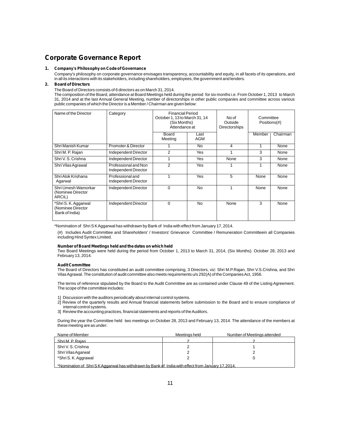### **Corporate Governance Report**

#### **1. Company's Philosophy on Code of Governance**

Company's philosophy on corporate governance envisages transparency, accountability and equity, in all facets of its operations, and in all its interactions with its stakeholders, including shareholders, employees, the government and lenders.

### **2. Board of Directors**

The Board of Directors consists of 6 directors as on March 31, 2014.

The composition of the Board, attendance at Board Meetings held during the period for six months i.e. From October 1, 2013 to March 31, 2014 and at the last Annual General Meeting, number of directorships in other public companies and committee across various public companies of which the Director is a Member / Chairman are given below:

| Name of the Director                                        | Category                                     | <b>Financial Period</b><br>October 1, 13 to March 31, 14<br>(Six Months)<br>Attendance at |             | No of<br>Outside<br><b>Directorships</b> | Committee<br>Positions(#) |          |
|-------------------------------------------------------------|----------------------------------------------|-------------------------------------------------------------------------------------------|-------------|------------------------------------------|---------------------------|----------|
|                                                             |                                              | Board<br>Meeting                                                                          | Last<br>AGM |                                          | Member                    | Chairman |
| Shri Manish Kumar                                           | Promoter & Director                          |                                                                                           | No          | 4                                        |                           | None     |
| Shri M. P. Rajan                                            | Independent Director                         | 2                                                                                         | Yes         |                                          | 3                         | None     |
| Shri V. S. Crishna                                          | Independent Director                         |                                                                                           | Yes         | None                                     | 3                         | None     |
| Shri Vilas Agrawal                                          | Professional and Non<br>Independent Director | 2                                                                                         | <b>Yes</b>  |                                          |                           | None     |
| Shri Alok Krishana<br>Agarwal                               | Professional and<br>Independent Director     |                                                                                           | Yes         | 5                                        | None                      | None     |
| Shri Umesh Wamorkar<br>(Nominee Director<br>ARCIL)          | Independent Director                         | $\Omega$                                                                                  | No          |                                          | None                      | None     |
| *Shri S. K. Aggarwal<br>(Nominee Director<br>Bank of India) | Independent Director                         | $\Omega$                                                                                  | <b>No</b>   | None                                     | 3                         | None     |

\*Nomination of Shri S K Aggarwal has withdrawn by Bank of India with effect from January 17, 2014.

(#) Includes Audit Committee and Shareholders' / Investors' Grievance Committee / Remuneration Committeein all Companies including Hind Syntex Limited.

#### **Number of Board Meetings held and the dates on which held**

Two Board Meetings were held during the period from October 1, 2013 to March 31, 2014, (Six Months). October 28, 2013 and February 13, 2014.

#### **Audit Committee**

The Board of Directors has constituted an audit committee comprising, 3 Directors, viz: Shri M.P.Rajan, Shri V.S.Crishna, and Shri Vilas Agrawal. The constitution of audit committee also meets requirements u/s 292(A) of the Companies Act, 1956.

The terms of reference stipulated by the Board to the Audit Committee are as contained under Clause 49 of the Listing Agreement. The scope of the committee includes:

1] Discussion with the auditors periodically about internal control systems.

2] Review of the quarterly results and Annual financial statements before submission to the Board and to ensure compliance of internal control systems.

3] Review the accounting practices, financial statements and reports of the Auditors.

During the year the Committee held two meetings on October 28, 2013 and February 13, 2014. The attendance of the members at these meeting are as under:

| Name of Member                                                                                            | Meetings held              | Number of Meetings attended             |
|-----------------------------------------------------------------------------------------------------------|----------------------------|-----------------------------------------|
| Shri M. P. Raian                                                                                          |                            |                                         |
| Shri V. S. Crishna                                                                                        |                            |                                         |
| Shri Vilas Agarwal                                                                                        |                            |                                         |
| *Shri S. K. Aggrawal                                                                                      |                            |                                         |
| $\sim$ $\sim$ $\sim$ $\sim$ $\sim$ $\sim$ $\sim$<br>$\cdots$<br>$\cdots$<br>$\overline{\phantom{0}}$<br>. | $\cdots$ $\cdots$ $\cdots$ | $\cdot$ $\cdot$ $\cdot$ $\cdot$ $\cdot$ |

\*Nomination of Shri S K Aggarwal has withdrawn by Bank of India with effect from January 17,2014.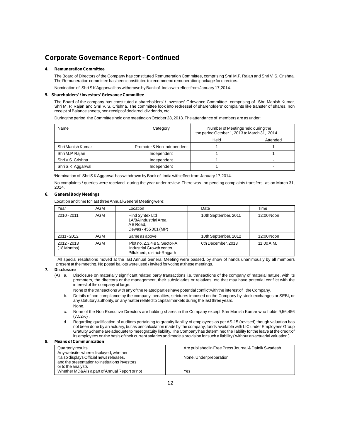### **Corporate Governance Report -** *Continued*

#### **4. Remuneration Committee**

The Board of Directors of the Company has constituted Remuneration Committee, comprising Shri M.P. Rajan and Shri V. S. Crishna. The Remuneration committee has been constituted to recommend remuneration package for directors.

Nomination of Shri S K Aggarwal has withdrawn by Bank of India with effect from January 17,2014.

#### **5. Shareholders' / Investors' Grievance Committee**

The Board of the company has constituted a shareholders' / Investors' Grievance Committee comprising of Shri Manish Kumar, Shri M. P. Rajan and Shri V. S. Crishna. The committee look into redressal of shareholders' complaints like transfer of shares, non receipt of Balance sheets, non receipt of declared dividends, etc.

During the period the Committee held one meeting on October 28, 2013. The attendance of members are as under:

| Name                           | Category                   | Number of Meetings held during the<br>the period October 1, 2013 to March 31, 2014 |          |
|--------------------------------|----------------------------|------------------------------------------------------------------------------------|----------|
|                                |                            | Held                                                                               | Attended |
| Shri Manish Kumar              | Promoter & Non Independent |                                                                                    |          |
| Shri M.P. Rajan<br>Independent |                            |                                                                                    |          |
| Shri V.S. Crishna              | Independent                |                                                                                    |          |
| Shri S.K. Aggarwal             | Independent                |                                                                                    |          |

\*Nomination of Shri S K Aggarwal has withdrawn by Bank of India with effect from January 17,2014.

No complaints / queries were received during the year under review. There was no pending complaints transfers as on March 31, 2014.

#### **6. General Body Meetings**

Location and time for last three Annual General Meeting were:

| Year                     | AGM | Location                                                                                     | Date                 | Time       |
|--------------------------|-----|----------------------------------------------------------------------------------------------|----------------------|------------|
| 2010 - 2011              | AGM | Hind Syntex Ltd<br>1A/8A Industrial Area<br>AB Road,<br>Dewas - 455 001 (MP)                 | 10th September, 2011 | 12:00 Noon |
| 2011 - 2012              | AGM | Same as above                                                                                | 10th September, 2012 | 12:00 Noon |
| 2012-2013<br>(18 Months) | AGM | Plot no. 2, 3, 4 & 5, Sector-A,<br>Industrial Growth center.<br>Pillukhedi, district-Rajgarh | 6th December, 2013   | 11:00A.M.  |

All special resolutions moved at the last Annual General Meeting were passed, by show of hands unanimously by all members present at the meeting. No postal ballots were used / invited for voting at these meetings.

#### **7. Disclosure**

(A) a. Disclosure on materially significant related party transactions i.e. transactions of the company of material nature, with its promoters, the directors or the management, their subsidiaries or relatives, etc that may have potential conflict with the interest of the company at large.

None of the transactions with any of the related parties have potential conflict with the interest of the Company.

- b. Details of non compliance by the company, penalties, strictures imposed on the Company by stock exchanges or SEBI, or any statutory authority, on any matter related to capital markets during the last three years. None.
- c. None of the Non Executive Directors are holding shares in the Company except Shri Manish Kumar who holds 9,56,456  $(7.52%)$ .
- d. Regarding qualification of auditors pertaining to gratuity liability of employees as per AS-15 (revised) though valuation has not been done by an actuary, but as per calculation made by the company, funds available with LIC under Employees Group Gratuity Scheme are adequate to meet gratuity liability. The Company has determined the liability for the leave at the credit of its employees on the basis of their current salaries and made a provision for such a liability ( without an actuarial valuation ).

### **8. Means of Communication**

| Quarterly results                              | Are published in Free Press Journal & Dainik Swadesh |
|------------------------------------------------|------------------------------------------------------|
| Any website, where displayed, whether          |                                                      |
| it also displays Official news releases,       | None, Under preparation                              |
| and the presentation to institutions investors |                                                      |
| or to the analysts                             |                                                      |
| Whether MD&A is a part of Annual Report or not | Yes                                                  |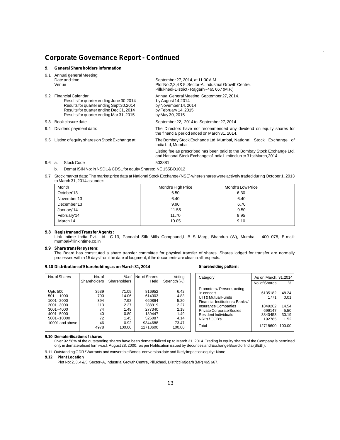### **Corporate Governance Report -** *Continued* `

**9. General Share holders information**

| 9.1 Annual general Meeting: |  |
|-----------------------------|--|
| Date and time               |  |
| Venue                       |  |

- - Results for quarter ending June 30,2014 by August 14,2014<br>Results for quarter ending Sept 30,2014 by November 14, 2014 Results for quarter ending Sept 30,2014 by November 14, 2015<br>Results for quarter ending Dec 31, 2014 by February 14, 2015 Results for quarter ending Dec 31, 2014 by February 14, 2<br>
	Results for quarter ending Mar 31, 2015 by May 30, 2015 Results for quarter ending Mar 31, 2015
- 

September 27, 2014, at 11:00 A.M. Plot No.2,3,4 & 5, Sector-A, Industrial Growth Centre, Pillukhedi-District - Rajgarh - 465 667 (M.P.)

9.2 Financial Calendar : <br>Results for quarter ending June 30, 2014 by August 14, 2014 by August 14, 2014

9.3 Book closure date September 22, 2014 to September 27, 2014

9.4 Dividend payment date: The Directors have not recommended any dividend on equity shares for the financial period ended on March 31, 2014.

9.5 Listing of equity shares on Stock Exchange at: The Bombay Stock Exchange Ltd, Mumbai, National Stock Exchange of India Ltd, Mumbai

> Listing fee as prescribed has been paid to the Bombay Stock Exchange Ltd. and National Stock Exchange of India Limited up to 31st March,2014.

- 
- 9.6 a. Stock Code 503881
	- b. Demat ISIN No: in NSDL& CDSLfor equity Shares:INE 155BO1012
- 9.7 Stock market data: The market price data at National Stock Exchange (NSE) where shares were actively traded during October 1, 2013 to March 31, 2014 as under:

| Month       | Month's High Price | Month's Low Price |
|-------------|--------------------|-------------------|
| October'13  | 6.50               | 6.30              |
| November'13 | 6.40               | 6.40              |
| December'13 | 9.90               | 6.70              |
| January'14  | 11.55              | 9.50              |
| February'14 | 11.70              | 9.95              |
| March'14    | 10.05              | 9.10              |

#### **9.8 Registrar and Transfer Agents:**

Link Intime India Pvt. Ltd., C-13, Pannalal Silk Mills Compound,L B S Marg, Bhandup (W), Mumbai - 400 078, E-mail: mumbai@linkintime.co.in

### **9.9 Share transfer system:**

The Board has constituted a share transfer committee for physical transfer of shares. Shares lodged for transfer are normally processed within 15 days from the date of lodgment, if the documents are clear in all respects.

|  |  |  | 9.10 Distribution of Shareholding as on March 31, 2014 |  |
|--|--|--|--------------------------------------------------------|--|
|--|--|--|--------------------------------------------------------|--|

#### **Shareholding pattern:**

| No. of Shares   | No. of       | $%$ of              | No. of Shares | Voting       | Category                                                     | As on March. 31,2014 |  |  |
|-----------------|--------------|---------------------|---------------|--------------|--------------------------------------------------------------|----------------------|--|--|
|                 | Shareholders | <b>Shareholders</b> | Held          | Strength (%) | No. of Shares                                                | %                    |  |  |
| Upto 500        | 3539         | 71.09               | 816952        | 6.42         | Promoters / Persons acting<br>48.24<br>6135182<br>in concert |                      |  |  |
| $501 - 1000$    | 700          | 14.06               | 614303        | 4.83         | UTI & Mutual Funds<br>1771                                   | 0.01                 |  |  |
| 1001 - 2000     | 394          | 7.92                | 660864        | 5.20         | Financial Institutions / Banks /                             |                      |  |  |
| 2001 - 3000     | 113          | 2.27                | 288919        | 2.27         | Insurance Companies<br>14.54<br>1849262                      |                      |  |  |
| $3001 - 4000$   | 74           | 1.49                | 277340        | 2.18         | Private Corporate Bodies<br>699147                           | 5.50                 |  |  |
| 4001 - 5000     | 40           | 0.80                | 189447        | 1.49         | Resident Individuals<br>30.19<br>3840453                     |                      |  |  |
| 5001 - 10000    | 72           | 1.45                | 526087        | 4.14         | NRI's/OCB's<br>192785                                        | 1.52                 |  |  |
| 10001 and above | 46           | 0.92                | 9344688       | 73.47        | Total<br>12718600<br>100.00                                  |                      |  |  |
|                 | 4978         | 100.00              | 12718600      | 100.00       |                                                              |                      |  |  |

#### **9.10 Dematerilisation of shares**

Over 92.58% of the outstanding shares have been dematerialized up to March 31, 2014. Trading in equity shares of the Company is permitted only in demateralised form w.e.f. August 28, 2000, as per Notification issued by Securities and Exchange Board of India (SEBI).

9.11 Outstanding GDR / Warrants and convertible Bonds, conversion date and likely impact on equity : None

### **9.12 Plant Location**

Plot No: 2, 3, 4 & 5, Sector- A, Industrial Growth Centre, Pillukhedi, District Rajgarh (MP) 465 667.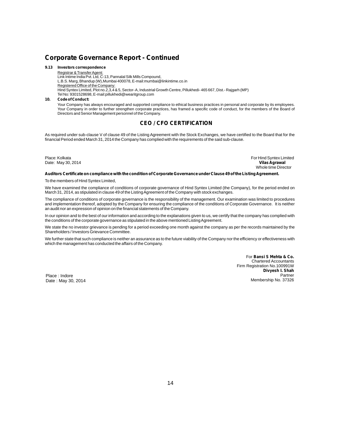### **Corporate Governance Report -** *Continued*

#### **9.13 Investors correspondence**

<u>Registrar & Transfer Agent:</u><br>Link Intime India Pvt. Ltd, C-13, Pannalal Silk Mills Compound,<br>L.B.S. Marg, Bhandup (W),Mumbai 400078, E-mail:mumbai@linkintime.co.in Registered Office of the Company: Hind Syntex Limited, Plot no.2,3,4 & 5, Sector- A, Industrial Growth Centre, Pillukhedi- 465 667, Dist.- Rajgarh (MP) Tel No: 9301528698, E-mail:pillukhedi@wearitgroup.com

#### **10. Code of Conduct:**

Your Company has always encouraged and supported compliance to ethical business practices in personal and corporate by its employees.<br>Your Company in order to further strengthen corporate practices, has framed a specific c Directors and Senior Management personnel of the Company.

### **CEO / CFO CERTIFICATION**

As required under sub-clause V of clause 49 of the Listing Agreement with the Stock Exchanges, we have certified to the Board that for the financial Period ended March 31, 2014 the Company has complied with the requirements of the said sub-clause.

Date: May 30, 2014

Place: Kolkata For Hind Syntex Limited<br>
Date: May 30, 2014 **The Syntex Limited Collection Collection** Collection Collection Collection Collection Collect<br>
Plate: May 30, 2014 **The Syntex Limited Collection Collection Colle** Whole time Director

#### **Auditors Certificate on compliance with the condition of Corporate Governance under Clause 49 of the Listing Agreement.**

To the members of Hind Syntex Limited,

We have examined the compliance of conditions of corporate governance of Hind Syntex Limited (the Company), for the period ended on March 31, 2014, as stipulated in clause 49 of the Listing Agreement of the Company with stock exchanges.

The compliance of conditions of corporate governance is the responsibility of the management. Our examination was limited to procedures and implementation thereof, adopted by the Company for ensuring the compliance of the conditions of Corporate Governance. It is neither an audit nor an expression of opinion on the financial statements of the Company.

In our opinion and to the best of our information and according to the explanations given to us, we certify that the company has complied with the conditions of the corporate governance as stipulated in the above mentioned Listing Agreement.

We state the no investor grievance is pending for a period exceeding one month against the company as per the records maintained by the Shareholders / Investors Grievance Committee.

We further state that such compliance is neither an assurance as to the future viability of the Company nor the efficiency or effectiveness with which the management has conducted the affairs of the Company.

Place : Indore Date : May 30, 2014

For **Bansi S Mehta & Co.** Chartered Accountants Firm Registration No.100991W **Divyesh I. Shah** Partner Membership No. 37326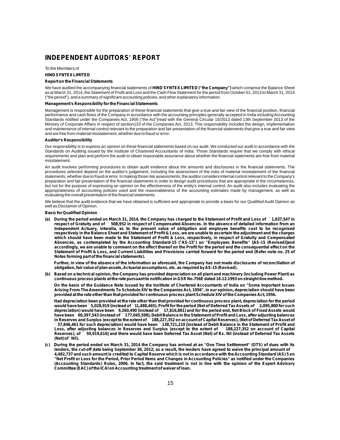### **INDEPENDENT AUDITORS' REPORT**

### To the Members of **HIND SYNTEX LIMITED**

#### **Report on the Financial Statements**

We have audited the accompanying financial statements of **HIND SYNTEX LIMITED ("the Company")** which comprise the Balance Sheet as at March 31, 2014, the Statement of Profit and Loss and the Cash Flow Statement for the period from October 01, 2013 to March 31, 2014 ("the period"), and a summary of significant accounting policies, and other explanatory information.

#### **Management's Responsibility for the Financial Statements**

Management is responsible for the preparation of these financial statements that give a true and fair view of the financial position, financial performance and cash flows of the Company in accordance with the accounting principles generally accepted in India including Accounting Standards notified under the Companies Act, 1956 ("the Act")read with the General Circular 15/2013 dated 13th September 2013 of the Ministry of Corporate Affairs in respect of section133 of the Companies Act, 2013. This responsibility includes the design, implementation and maintenance of internal control relevant to the preparation and fair presentation of the financial statements that give a true and fair view and are free from material misstatement, whether due to fraud or error.

#### **Auditor's Responsibility**

Our responsibility is to express an opinion on these financial statements based on our audit. We conducted our audit in accordance with the Standards on Auditing issued by the Institute of Chartered Accountants of India. Those Standards require that we comply with ethical requirements and plan and perform the audit to obtain reasonable assurance about whether the financial statements are free from material misstatement.

An audit involves performing procedures to obtain audit evidence about the amounts and disclosures in the financial statements. The procedures selected depend on the auditor's judgement, including the assessment of the risks of material misstatement of the financial statements, whether due to fraud or error. In making those risk assessments, the auditor considers internal control relevant to the Company's preparation and fair presentation of the financial statements in order to design audit procedures that are appropriate in the circumstances, but not for the purpose of expressing an opinion on the effectiveness of the entity's internal control. An audit also includes evaluating the appropriateness of accounting policies used and the reasonableness of the accounting estimates made by management, as well as evaluating the overall presentation of the financial statements.

We believe that the audit evidence that we have obtained is sufficient and appropriate to provide a basis for our Qualified Audit Opinion as well as Disclaimer of Opinion.

#### *Basis for Qualified Opinion*

*(a) During the period ended on March 31, 2014, the Company has charged to the Statement of Profit and Loss of* ` *1,037,547 in respect of Gratuity and of* ` *508,952 in respect of Compensated Absences. In the absence of detailed information from an Independent Actuary, interalia, as to the present value of obligation and employee benefits cost to be recognised respectively in the Balance Sheet and Statement of Profit & Loss, we are unable to ascertain the adjustment and the charges which should have been made to the Statement of Profit & Loss, respectively, in respect of Gratuity and Compensated Absences, as contemplated by the Accounting Standard-15 ("AS-15") on "Employees Benefits" [AS-15 (Revised)]and*  accordingly, we are unable to comment on the effect thereof on the Profit for the period and the consequential effect on the *Statement of Profit & Loss, and Current Liabilities and Provisions carried forward for the period end (Refer note no. 25 of Notes forming part of the financial statements).*

Further, in view of the absence of the information as aforesaid, the Company has not made disclosures of reconciliation of *obligation, fair value of plan assets, Actuarial assumptions, etc. as required by AS-15 (Revised).*

*(b) Based on a technical opinion, the Company has provided depreciation on all plant and machinery (including Power Plant) as continuous process plants at the rate pursuant to notification in GSR No.756E dated 16.12.1993 on straight line method.* 

*On the basis of the Guidance Note issued by the Institute of Chartered Accountants of India on "Some Important Issues Arising From The Amendments To Schedule XIV to the Companies Act, 1956", in our opinion, depreciation should have been provided at the rate other than that provided for continuous process plant Schedule XIV of the Companies Act, 1956.*

*Had depreciation been provided at the rate other than that provided for continuous process plant, depreciation for the period would have been* ` *5,028,919 (instead of* ` *11,488,465), Profit for the period (Net of Deferred Tax Assets of* ` *2,095,800 for such depreciation) would have been* ` *9,260,490 (instead of* ` *17,816,881) and for the period end, Net Block of Fixed Assets would have been* ` *60,397,543 (instead of* ` *177,045,598), Debit Balance in the Statement of Profit and Loss, after adjusting balances in Reserves and Surplus (except to the extent of* ` *188,227,352 on account of Capital Reserves), (Net of Deferred Tax Asset of*  ` *37,846,461 for such depreciation) would have been* ` *138,721,210 [instead of Debit Balance in the Statement of Profit and Loss, after adjusting balances in Reserves and Surplus (except to the extent of* ` *188,227,352 on account of Capital Reserves), of* ` *59,919,616] and there would have been Deferred Tax Asset (Net) of Rs. Nil (instead of Deferred Tax Assets (Net) of ` Nil).*

*(c) During the period ended on March 31, 2014 the Company has arrived at an "One Time Settlement" (OTS) of dues with its*  lenders, the cut-off date being September 30, 2012; as a result, the lenders have agreed to waive the principal amount of *4,482,737 and such amount is credited to Capital Reserve which is not in accordance with the Accounting Standard (AS) 5 on "Net Profit or Loss for the Period, Prior Period Items and Changes in Accounting Policies" as notified under the Companies (Accounting Standards) Rules, 2006. In fact, the said treatment is not in line with the opinion of the Expert Advisory Committee (EAC) of the ICAI on Accounting treatment of waiver of loan.*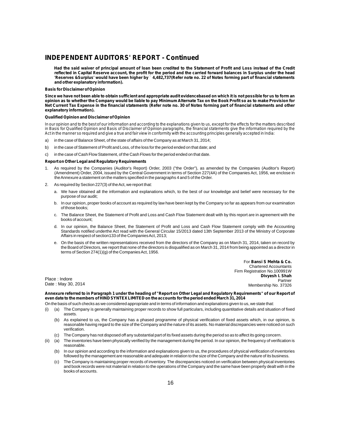Had the said waiver of principal amount of loan been credited to the Statement of Profit and Loss instead of the Credit *reflected in Capital Reserve account, the profit for the period and the carried forward balances in Surplus under the head 'Reserves &Surplus' would have been higher by* ` *4,482,737(Refer note no. 22 of Notes forming part of financial statements and other explanatory information).*

#### *Basis for Disclaimer of Opinion*

*Since we have not been able to obtain sufficient and appropriate audit evidencebased on which it is not possible for us to form an opinion as to whether the Company would be liable to pay Minimum Alternate Tax on the Book Profit so as to make Provision for Net Current Tax Expense in the financial statements (Refer note no. 30 of Notes forming part of financial statements and other explanatory information).*

#### *Qualified Opinion and Disclaimer of Opinion*

*In our opinion and to the best of our information and according to the explanations given to us, except for the effects for the matters described*  in Basis for Qualified Opinion and Basis of Disclaimer of Opinion paragraphs, the financial statements give the information required by the *Act in the manner so required and give a true and fair view in conformity with the accounting principles generally accepted in India:*

- a) in the case of Balance Sheet, of the state of affairs of the Company as at March 31, 2014;
- b) in the case of Statement of Profit and Loss, of the loss for the period ended on that date; and
- c) in the case of Cash Flow Statement, of the Cash Flows for the period ended on that date.

#### **Report on Other Legal and Regulatory Requirements**

- 1. As required by the Companies (Auditor's Report) Order, 2003 ("the Order"), as amended by the Companies (Auditor's Report) (Amendment) Order, 2004, issued by the Central Government in terms of Section 227(4A) of the Companies Act, 1956, we enclose in the Annexure a statement on the matters specified in the paragraphs 4 and 5 of the Order.
- 2. As required by Section 227(3) of the Act, we report that:
	- a. We have obtained all the information and explanations which, to the best of our knowledge and belief were necessary for the purpose of our audit;
	- b. In our opinion, proper books of account as required by law have been kept by the Company so far as appears from our examination of those books;
	- c. The Balance Sheet, the Statement of Profit and Loss and Cash Flow Statement dealt with by this report are in agreement with the books of account;
	- d. In our opinion, the Balance Sheet, the Statement of Profit and Loss and Cash Flow Statement comply with the Accounting Standards notified underthe Act read with the General Circular 15/2013 dated 13th September 2013 of the Ministry of Corporate Affairs in respect of section133 of the Companies Act, 2013;
	- e. On the basis of the written representations received from the directors of the Company as on March 31, 2014, taken on record by the Board of Directors, we report that none of the directors is disqualified as on March 31, 2014 from being appointed as a director in terms of Section 274(1)(g) of the Companies Act, 1956.

For **Bansi S Mehta & Co.** Chartered Accountants Firm Registration No.100991W **Divyesh I. Shah** Partner Membership No. 37326

Place : Indore Date : May 30, 2014

**Annexure referred to in Paragraph 1 under the heading of "Report on Other Legal and Regulatory Requirements" of our Report of even date to the members of HIND SYNTEX LIMITED on the accounts for the period ended March 31, 2014**

- On the basis of such checks as we considered appropriate and in terms of information and explanations given to us, we state that:
- (i) (a) The Company is generally maintaining proper records to show full particulars, including quantitative details and situation of fixed assets.
	- (b) As explained to us, the Company has a phased programme of physical verification of fixed assets which, in our opinion, is reasonable having regard to the size of the Company and the nature of its assets. No material discrepancies were noticed on such verification.
	- (c) The Company has not disposed off any substantial part of its fixed assets during the period so as to affect its going concern.
- (ii) (a) The inventories have been physically verified by the management during the period. In our opinion, the frequency of verification is reasonable.
	- (b) In our opinion and according to the information and explanations given to us, the procedures of physical verification of inventories followed by the management are reasonable and adequate in relation to the size of the Company and the nature of its business.
	- The Company is maintaining proper records of inventory. The discrepancies noticed on verification between physical inventories and book records were not material in relation to the operations of the Company and the same have been properly dealt with in the books of accounts.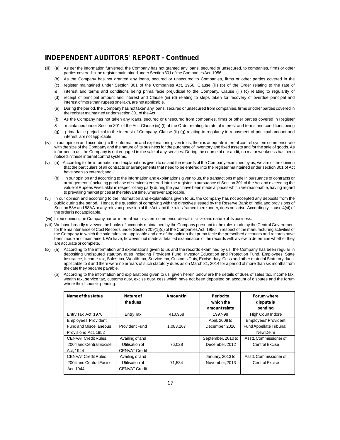- (iii) (a) As per the information furnished, the Company has not granted any loans, secured or unsecured, to companies, firms or other parties covered in the register maintained under Section 301 of the Companies Act, 1956
	- (b) As the Company has not granted any loans, secured or unsecured to Companies, firms or other parties covered in the
	- (c) register maintained under Section 301 of the Companies Act, 1956, Clause (iii) (b) of the Order relating to the rate of
	- & interest and terms and conditions being prima facie prejudicial to the Company, Clause (iii) (c) relating to regularity of
	- (d) receipt of principal amount and interest and Clause (iii) (d) relating to steps taken for recovery of overdue principal and interest of more than rupees one lakh, are not applicable.
	- (e) During the period, the Company has not taken any loans, secured or unsecured from companies, firms or other parties covered in the register maintained under section 301 of the Act.
	- (f) As the Company has not taken any loans, secured or unsecured from companies, firms or other parties covered in Register
	- & maintained under Section 301 of the Act, Clause (iii) (f) of the Order relating to rate of interest and terms and conditions being
	- (g) prima facie prejudicial to the interest of Company, Clause (iii) (g) relating to regularity in repayment of principal amount and interest, are not applicable.
- (iv) In our opinion and according to the information and explanations given to us, there is adequate internal control system commensurate with the size of the Company and the nature of its business for the purchase of inventory and fixed assets and for the sale of goods. As informed to us, the Company is not engaged in the sale of any services. During the course of our audit, no major weakness has been noticed in these internal control systems.
- (v) (a) According to the information and explanations given to us and the records of the Company examined by us, we are of the opinion that the particulars of all contracts or arrangements that need to be entered into the register maintained under section 301 of Act have been so entered; and
	- (b) In our opinion and according to the information and explanations given to us, the transactions made in pursuance of contracts or arrangements (including purchase of services) entered into the register in pursuance of Section 301 of the Act and exceeding the value of Rupees Five Lakhs in respect of any party during the year, have been made at prices which are reasonable, having regard to prevailing market prices at the relevant time, wherever applicable.
- (vi) In our opinion and according to the information and explanations given to us, the Company has not accepted any deposits from the public during the period. Hence, the question of complying with the directives issued by the Reserve Bank of India and provisions of Section 58Aand 58AAor any relevant provision of the Act, and the rules framed there under, does not arise. Accordingly clause 4(vi) of the order is not applicable.
- (vii) In our opinion, the Company has an internal audit system commensurate with its size and nature of its business.
- (viii) We have broadly reviewed the books of accounts maintained by the Company pursuant to the rules made by the Central Government for the maintenance of Cost Records under Section 209(1)(d) of the Companies Act, 1956, in respect of the manufacturing activities of the Company to which the said rules are applicable and are of the opinion that prima facie the prescribed accounts and records have been made and maintained. We have, however, not made a detailed examination of the records with a view to determine whether they are accurate or complete.
- (ix) (a) According to the information and explanations given to us and the records examined by us, the Company has been regular in depositing undisputed statutory dues including Provident Fund, Investor Education and Protection Fund, Employees' State Insurance, Income-tax, Sales-tax, Wealth-tax, Service-tax, Customs Duty, Excise-duty, Cess and other material Statutory dues, applicable to it and there were no arrears of such statutory dues as on March 31, 2014 for a period of more than six months from the date they became payable.
	- (b) According to the information and explanations given to us, given herein below are the details of dues of sales tax, income tax, wealth tax, service tax, customs duty, excise duty, cess which have not been deposited on account of disputes and the forum where the dispute is pending:

| Name of the statue            | Nature of<br>the dues | Amount in | <b>Period to</b><br>which the<br>amount relate | Forum where<br>dispute is<br>pending |
|-------------------------------|-----------------------|-----------|------------------------------------------------|--------------------------------------|
| Entry Tax Act, 1976           | Entry Tax             | 410.968   | 1997-98                                        | High Court Indore                    |
| <b>Employees' Provident</b>   |                       |           | April, 2008 to                                 | <b>Employees' Provident</b>          |
| <b>Fund and Miscellaneous</b> | Provident Fund        | 1,083,267 | December, 2010                                 | Fund Appellate Tribunal,             |
| Provisions Act, 1952          |                       |           |                                                | New Delhi                            |
| <b>CENVAT Credit Rules.</b>   | Availing of and       |           | September, 2010 to                             | Asstt. Commissioner of               |
| 2004 and Central Excise       | Utilisation of        | 76.028    | December, 2012                                 | Central Excise                       |
| Act, 1944                     | <b>CENVAT Credit</b>  |           |                                                |                                      |
| <b>CENVAT Credit Rules.</b>   | Availing of and       |           | January, 2013 to                               | Asstt. Commissioner of               |
| 2004 and Central Excise       | Utilisation of        | 71.534    | November, 2013                                 | <b>Central Excise</b>                |
| Act. 1944                     | <b>CENVAT Credit</b>  |           |                                                |                                      |
|                               |                       |           |                                                |                                      |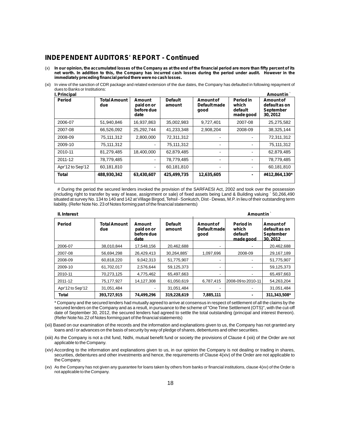- (x) **In our opinion, the accumulated losses of the Company as at the end of the financial period are more than fifty percent of its net worth. In addition to this, the Company has incurred cash losses during the period under audit. However in the immediately preceding financial period there were no cash losses.**
- (xi) In view of the sanction of CDR package and related extension of the due dates, the Company has defaulted in following repayment of dues to Banks or Institutions:

| I. Principal     |                            |                                            |                          |                                   |                                            | Amount in                                           |
|------------------|----------------------------|--------------------------------------------|--------------------------|-----------------------------------|--------------------------------------------|-----------------------------------------------------|
| Period           | <b>Total Amount</b><br>due | Amount<br>paid on or<br>before due<br>date | <b>Default</b><br>amount | Amount of<br>Default made<br>good | Period in<br>which<br>default<br>made good | Amount of<br>default as on<br>September<br>30, 2012 |
| 2006-07          | 51,940,846                 | 16,937,863                                 | 35,002,983               | 9,727,401                         | 2007-08                                    | 25,275,582                                          |
| 2007-08          | 66,526,092                 | 25,292,744                                 | 41,233,348               | 2,908,204                         | 2008-09                                    | 38,325,144                                          |
| 2008-09          | 75,111,312                 | 2,800,000                                  | 72,311,312               |                                   |                                            | 72,311,312                                          |
| 2009-10          | 75,111,312                 | $\overline{\phantom{a}}$                   | 75,111,312               | $\overline{\phantom{a}}$          |                                            | 75,111,312                                          |
| 2010-11          | 81,279,485                 | 18,400,000                                 | 62,879,485               | ۰                                 |                                            | 62,879,485                                          |
| 2011-12          | 78,779,485                 | $\overline{\phantom{a}}$                   | 78,779,485               | -                                 |                                            | 78,779,485                                          |
| Apr'12 to Sep'12 | 60,181,810                 | $\overline{\phantom{a}}$                   | 60,181,810               | ۰                                 | -                                          | 60,181,810                                          |
| <b>Total</b>     | 488,930,342                | 63,430,607                                 | 425,499,735              | 12,635,605                        | -                                          | #412,864,130*                                       |

# During the period the secured lenders invoked the provision of the SARFAESI Act, 2002 and took over the possession (including right to transfer by way of lease, assignment or sale) of fixed assets being Land & Building valuing ` 50,266,490 situated at survey No. 134 to 140 and 142 at Village Birgod, Tehsil - Sonkutch, Dist - Dewas, M.P. in lieu of their outstanding term liability. (Refer Note No. 23 of Notes forming part of the financial statements)

| II. Interest     |                            |                                                   | Amount in                |                                   |                                            |                                                     |
|------------------|----------------------------|---------------------------------------------------|--------------------------|-----------------------------------|--------------------------------------------|-----------------------------------------------------|
| Period           | <b>Total Amount</b><br>due | Amount<br>paid on or<br>before due<br><u>date</u> | <b>Default</b><br>amount | Amount of<br>Default made<br>good | Period in<br>which<br>default<br>made good | Amount of<br>default as on<br>September<br>30, 2012 |
| 2006-07          | 38,010,844                 | 17,548,156                                        | 20,462,688               |                                   |                                            | 20,462,688                                          |
| 2007-08          | 56,694,298                 | 26,429,413                                        | 30,264,885               | 1,097,696                         | 2008-09                                    | 29,167,189                                          |
| 2008-09          | 60,818,220                 | 9,042,313                                         | 51,775,907               |                                   |                                            | 51,775,907                                          |
| 2009-10          | 61,702,017                 | 2.576.644                                         | 59,125,373               |                                   |                                            | 59,125,373                                          |
| 2010-11          | 70,273,125                 | 4.775.462                                         | 65,497,663               |                                   |                                            | 65,497,663                                          |
| 2011-12          | 75,177,927                 | 14,127,308                                        | 61,050,619               | 6,787,415                         | 2008-09 to 2010-11                         | 54,263,204                                          |
| Apr'12 to Sep'12 | 31,051,484                 | -                                                 | 31,051,484               |                                   |                                            | 31,051,484                                          |
| Total            | 393,727,915                | 74,499,296                                        | 319,228,619              | 7,885,111                         |                                            | 311,343,508*                                        |

\* Company and the secured lenders had mutually agreed to arrive at consensus in respect of settlement of all the claims by the secured lenders on the Company and as a result, in pursuance to the scheme of "One Time Settlement (OTS)", with the cut-off date of September 30, 2012, the secured lenders had agreed to settle the total outstanding (principal and interest thereon). (Refer Note No.22 of Notes forming part of the financial statements)

- (xii) Based on our examination of the records and the information and explanations given to us, the Company has not granted any loans and / or advances on the basis of security by way of pledge of shares, debentures and other securities.
- (xiii) As the Company is not a chit fund, Nidhi, mutual benefit fund or society the provisions of Clause 4 (xiii) of the Order are not applicable to the Company.
- (xiv) According to the information and explanations given to us, in our opinion the Company is not dealing or trading in shares, securities, debentures and other investments and hence, the requirements of Clause 4(xiv) of the Order are not applicable to the Company.
- (xv) As the Company has not given any guarantee for loans taken by others from banks or financial institutions, clause 4(xv) of the Order is not applicable to the Company.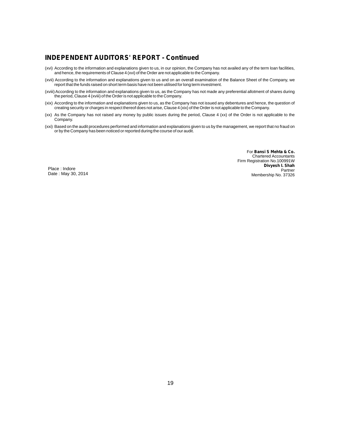- (xvi) According to the information and explanations given to us, in our opinion, the Company has not availed any of the term loan facilities, and hence, the requirements of Clause 4 (xvi) of the Order are not applicable to the Company.
- (xvii) According to the information and explanations given to us and on an overall examination of the Balance Sheet of the Company, we report that the funds raised on short term basis have not been utilised for long term investment.
- (xviii) According to the information and explanations given to us, as the Company has not made any preferential allotment of shares during the period, Clause 4 (xviii) of the Order is not applicable to the Company.
- (xix) According to the information and explanations given to us, as the Company has not issued any debentures and hence, the question of creating security or charges in respect thereof does not arise, Clause 4 (xix) of the Order is not applicable to the Company.
- (xx) As the Company has not raised any money by public issues during the period, Clause 4 (xx) of the Order is not applicable to the Company.
- (xxi) Based on the audit procedures performed and information and explanations given to us by the management, we report that no fraud on or by the Company has been noticed or reported during the course of our audit.

For **Bansi S Mehta & Co.** Chartered Accountants Firm Registration No.100991W **Divyesh I. Shah** Partner Membership No. 37326

Place : Indore Date : May 30, 2014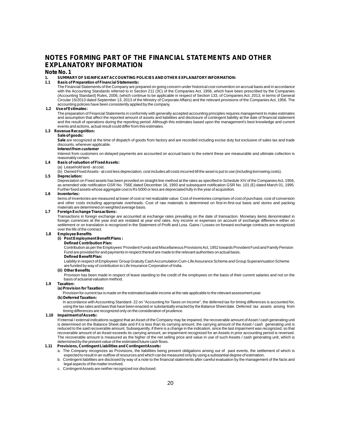# **NOTES FORMING PART OF THE FINANCIAL STATEMENTS AND OTHER EXPLANATORY INFORMATION**

### **Note No. 1**

# **1. SUMMARYOF SIGNIFICANT ACCOUNTING POLICIES AND OTHER EXPLANATORYINFORMATION:**

### **1.1 Basis of Preparation of Financial Statements:**

The Financial Statements of the Company are prepared on going concern under historical cost convention on accrual basis and in accordance<br>with the Accounting Standards referred to in Section 211 (3C) of the Companies Act, (Accounting Standard) Rules, 2006, (which continue to be applicable in respect of Section 133, of Companies Act, 2013, in terms of General Circular 15/2013 dated September 13, 2013 of the Ministry of Corporate Affairs) and the relevant provisions of the Companies Act, 1956. The accounting policies have been consistently applied by the company.

#### **1.2 Use of Estimates:**

The preparation of Financial Statements in conformity with generally accepted accounting principles requires management to make estimates and assumption that affect the reported amount of assets and liabilities and disclosure of contingent liability at the date of financial statement and the result of operations during the reporting period. Although this estimates based upon the management's best knowledge and current events and actions, actual result could differ from this estimates.

### **1.3 Revenue Recognition:**

#### **Sale of goods:**

 **Sale** are recognized at the time of dispatch of goods from factory and are recorded including excise duty but exclusive of sales tax and trade discounts, wherever applicable.

### *Interest from customer*

Interest from customers on delayed payments are accounted on accrual basis to the extent these are measurable and ultimate collection is reasonably certain.

#### **1.4 Basis of valuation of Fixed Assets:**

(a) Leasehold land - at cost.

(b) Owned Fixed Assets - at cost less depreciation, cost includes all costs incurred till the asset is put to use (including borrowing costs).

### **1.5 Depreciation:**

Depreciation on Fixed assets has been provided on straight line method at the rates as specified in Schedule XIV of the Companies Act, 1956, as amended vide notification GSR No. 756E dated December 16, 1993 and subsequent notification GSR No. 101 (E) dated March 01, 1995. Further fixed assets whose aggregate cost is Rs 5000 or less are depreciated fully in the year of acquisition.

#### **1.6 Inventories:**

Items of Inventories are measured at lower of cost or net realizable value. Cost of inventories comprises of cost of purchase, cost of conversion and other costs including appropriate overheads. Cost of raw materials is determined on first-in-first-out basis and stores and packing materials are determined on weighted average basis.

#### **1.7 Foreign Exchange Transactions:**

Transactions in foreign exchange are accounted at exchange rates prevailing on the date of transaction. Monetary items denominated in foreign currencies at the year end are restated at year end rates. Any income or expenses on account of exchange difference either on<br>settlement or on translation is recognized in the Statement of Profit and Loss. Gains / over the life of the contract.

#### **1.8 Employee Benefits**

### **(i) Post Employment Benefit Plans :**

**Defined Contribution Plan:**

Contribution as per the Employees' Provident Funds and Miscellaneous Provisions Act, 1952 towards Provident Fund and Family Pension Fund are provided for and payments in respect thereof are made to the relevant authorities on actual basis. **Defined Benefit Plan:**

#### Liability in respect of Employees' Group Gratuity Cash Accumulation Cum-Life Assurance Scheme and Group Superannuation Scheme are funded by way of contribution to Life Insurance Corporation of India.

#### **(ii) Other Benefits**

Provision has been made in respect of leave standing to the credit of the employees on the basis of their current salaries and not on the basis of actuarial valuation method.

#### **1.9 Taxation:**

#### **(a) Provision for Taxation:**

Provision for current tax is made on the estimated taxable income at the rate applicable to the relevant assessment year.

#### **(b) Deferred Taxation:**

In accordance with Accounting Standard- 22 on "Accounting for Taxes on Income", the deferred tax for timing differences is accounted for, using the tax rates and laws that have been enacted or substantially enacted by the Balance Sheet date. Deferred tax assets arising from timing differences are recognized only on the consideration of prudence.

#### **1.10 Impairment of Assets:**

If internal / external indications suggest that an Asset of the Company may be impaired, the recoverable amount of Asset / cash generating unit is determined on the Balance Sheet date and if it is less than its carrying amount, the carrying amount of the Asset / cash generating unit is reduced to the said recoverable amount. Subsequently, if there is a change in the indication, since the last impairment was recognized, so that recoverable amount of an Asset exceeds its carrying amount, an impairment recognized for an Assets in prior accounting period is reversed. The recoverable amount is measured as the higher of the net selling price and value in use of such Assets / cash generating unit, which is determined by the present value of the estimated future cash flows.

#### **1.11 Provisions, Contingent Liabilities and Contingent Assets:**

- a. The Company recognizes as Provisions, the liabilities being present obligations arising out of past events, the settlement of which is expected to result in an outflow of resources and which can be measured only by using a substantial degree of estimation.
- b. Contingent liabilities are disclosed by way of a note to the financial statements after careful evaluation by the management of the facts and legal aspects of the matter involved.
- c. Contingent Assets are neither recognized nor disclosed.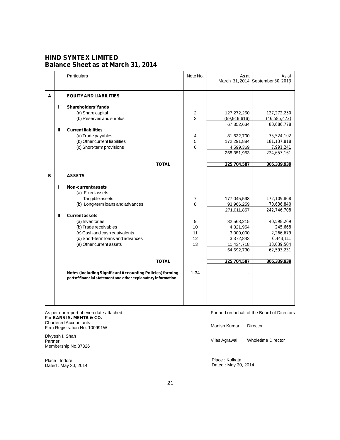# **Balance Sheet as at March 31, 2014 HIND SYNTEX LIMITED**

|   |        | Particulars                                                                                                                                                                                                                                                                                 | Note No.                                        | As at                                                                                                                                    | Asat<br>March 31, 2014 September 30, 2013                                                                                                |
|---|--------|---------------------------------------------------------------------------------------------------------------------------------------------------------------------------------------------------------------------------------------------------------------------------------------------|-------------------------------------------------|------------------------------------------------------------------------------------------------------------------------------------------|------------------------------------------------------------------------------------------------------------------------------------------|
| A |        | <b>EQUITY AND LIABILITIES</b>                                                                                                                                                                                                                                                               |                                                 |                                                                                                                                          |                                                                                                                                          |
|   | L<br>Ш | Shareholders' funds<br>(a) Share capital<br>(b) Reserves and surplus<br><b>Current liabilities</b>                                                                                                                                                                                          | 2<br>3                                          | 127,272,250<br>(59,919,616)<br>67,352,634                                                                                                | 127,272,250<br>(46, 585, 472)<br>80,686,778                                                                                              |
|   |        | (a) Trade payables<br>(b) Other current liabilities<br>(c) Short-term provisions                                                                                                                                                                                                            | 4<br>5<br>6                                     | 81,532,700<br>172,291,884<br>4,599,369<br>258,351,953                                                                                    | 35,524,102<br>181, 137, 818<br>7,991,241<br>224,653,161                                                                                  |
|   |        | <b>TOTAL</b>                                                                                                                                                                                                                                                                                |                                                 | 325,704,587                                                                                                                              | 305,339,939                                                                                                                              |
| в |        | <b>ASSETS</b>                                                                                                                                                                                                                                                                               |                                                 |                                                                                                                                          |                                                                                                                                          |
|   | г<br>Ш | <b>Non-current assets</b><br>(a) Fixed assets<br>Tangible assets<br>(b) Long-term loans and advances<br><b>Current assets</b><br>(a) Inventories<br>(b) Trade receivables<br>(c) Cash and cash equivalents<br>(d) Short-term loans and advances<br>(e) Other current assets<br><b>TOTAL</b> | 7<br>8<br>9<br>10<br>11<br>12<br>13<br>$1 - 34$ | 177,045,598<br>93,966,259<br>271,011,857<br>32,563,215<br>4,321,954<br>3,000,000<br>3,372,843<br>11,434,718<br>54,692,730<br>325,704,587 | 172, 109, 868<br>70,636,840<br>242,746,708<br>40,598,269<br>245,668<br>2,266,679<br>6,443,111<br>13,039,504<br>62,593,231<br>305,339,939 |
|   |        | Notes (including Significant Accounting Policies) forming<br>part of financial statement and other explanatory information                                                                                                                                                                  |                                                 |                                                                                                                                          |                                                                                                                                          |

As per our report of even date attached For **BANSI S. MEHTA & CO.** Chartered Accountants Firm Registration No. 100991W

Divyesh I. Shah Partner Membership No.37326

Place : Indore Dated : May 30, 2014 For and on behalf of the Board of Directors

Manish Kumar Director

Vilas Agrawal

Wholetime Director

Place : Kolkata Dated : May 30, 2014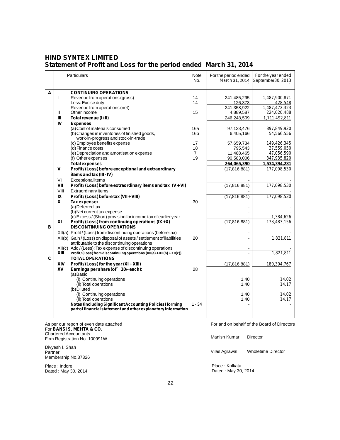# **Statement of Profit and Loss for the period ended March 31, 2014 HIND SYNTEX LIMITED**

|                                              | Particulars                                                                                                                                                                                                                                                                                                                                                                                                                                                               | <b>Note</b><br>No.                             | For the period ended<br>March 31, 2014                                                      | For the year ended<br>September 30, 2013                                                             |
|----------------------------------------------|---------------------------------------------------------------------------------------------------------------------------------------------------------------------------------------------------------------------------------------------------------------------------------------------------------------------------------------------------------------------------------------------------------------------------------------------------------------------------|------------------------------------------------|---------------------------------------------------------------------------------------------|------------------------------------------------------------------------------------------------------|
| A<br>Ш<br>Ш                                  | <b>CONTINUING OPERATIONS</b><br>Revenue from operations (gross)<br>Less: Excise duty<br>Revenue from operations (net)<br>Other income<br>Total revenue (I+II)                                                                                                                                                                                                                                                                                                             | 14<br>14<br>15                                 | 241,485,295<br>126.373<br>241,358,922<br>4,889,587<br>246.248.509                           | 1,487,900,871<br>428.548<br>1,487,472,323<br>224,020,488<br>1.711.492.811                            |
| IV                                           | <b>Expenses</b><br>(a) Cost of materials consumed<br>(b) Changes in inventories of finished goods,<br>work-in-progress and stock-in-trade<br>(c) Employee benefits expense<br>(d)Finance costs<br>(e) Depreciation and amortisation expense<br>(f) Other expenses<br><b>Total expenses</b>                                                                                                                                                                                | 16a<br>16b<br>17<br>18<br>$\overline{7}$<br>19 | 97,133,476<br>6,405,166<br>57,659,734<br>795,543<br>11,488,465<br>90,583,006<br>264,065,390 | 897,849,920<br>54,566,556<br>149,426,345<br>37,559,050<br>47,056,590<br>347,935,820<br>1,534,394,281 |
| V<br>VI<br>VII<br>VIII<br>IX<br>X<br>XI<br>в | Profit / (Loss) before exceptional and extraordinary<br>items and tax (III - IV)<br>Exceptional items<br>Profit/(Loss) before extraordinary items and tax $(V + VI)$<br><b>Extraordinary items</b><br>Profit / (Loss) before tax (VII + VIII)<br>Tax expense:<br>(a) Deferred tax<br>(b) Net current tax expense<br>(c) Excess / (Short) provision for income tax of earlier year<br>Profit / (Loss) from continuing operations (IX+X)<br><b>DISCONTINUING OPERATIONS</b> | 30                                             | (17, 816, 881)<br>(17, 816, 881)<br>(17, 816, 881)<br>(17, 816, 881)                        | 177,098,530<br>177,098,530<br>177,098,530<br>1.384.626<br>178,483,156                                |
| XIII<br>C<br><b>XIV</b>                      | $XII(a)$ Profit / (Loss) from discontinuing operations (before tax)<br>XII(b) Gain / (Loss) on disposal of assets / settlement of liabilities<br>attributable to the discontinuing operations<br>$XII(c)$ $ Add / (Less)$ : Tax expense of discontinuing operations<br>Profit / (Loss) from discontinuing operations (XII(a) + XII(b) + XII(c))<br><b>TOTAL OPERATIONS</b><br>Profit / (Loss) for the year (XI + XIII)                                                    | 20                                             | (17, 816, 881)                                                                              | 1,821,811<br>1,821,811<br>180, 304, 767                                                              |
| XV                                           | Earnings per share (of ` 10/-each):<br>(a)Basic<br>(i) Continuing operations<br>(ii) Total operations<br>(b) Diluted<br>(i) Continuing operations<br>(ii) Total operations<br>Notes (including Significant Accounting Policies) forming<br>part of financial statement and other explanatory information                                                                                                                                                                  | 28<br>$1 - 34$                                 | 1.40<br>1.40<br>1.40<br>1.40                                                                | 14.02<br>14.17<br>14.02<br>14.17                                                                     |

As per our report of even date attached For **BANSI S. MEHTA & CO.** Chartered Accountants Firm Registration No. 100991W

Divyesh I. Shah Partner Membership No.37326

Place : Indore Dated : May 30, 2014 For and on behalf of the Board of Directors

Manish Kumar Director

Vilas Agrawal Wholetime Director

Place : Kolkata Dated : May 30, 2014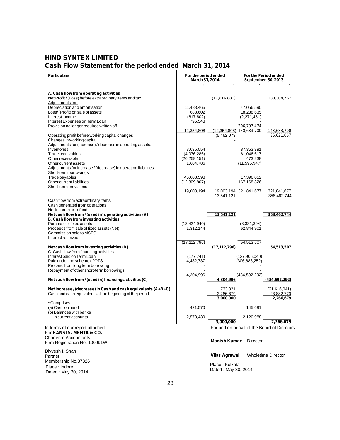# **Cash Flow Statement for the period ended March 31, 2014 HIND SYNTEX LIMITED**

| <b>Particulars</b>                                                                                | For the period ended<br>March 31, 2014 |                | <b>For the Period ended</b><br>September 30, 2013 |                 |  |
|---------------------------------------------------------------------------------------------------|----------------------------------------|----------------|---------------------------------------------------|-----------------|--|
|                                                                                                   |                                        |                |                                                   |                 |  |
| A. Cash flow from operating activities                                                            |                                        |                |                                                   |                 |  |
| Net Profit / (Loss) before extraordinary items and tax<br>Adjustments for:                        |                                        | (17, 816, 881) |                                                   | 180,304,767     |  |
| Depreciation and amortisation                                                                     | 11,488,465                             |                | 47,056,590                                        |                 |  |
| Loss/ (Profit) on sale of assets                                                                  | 688,602                                |                | 18,238,635                                        |                 |  |
| Interest income                                                                                   | (617, 802)                             |                | (2,271,451)                                       |                 |  |
| Interest Expenses on Term Loan                                                                    | 795,543                                |                |                                                   |                 |  |
| Provision no longer required written off                                                          | 12,354,808                             | (12, 354, 808) | 206,707,474<br>143,683,700                        | 143,683,700     |  |
| Operating profit before working capital changes<br>Changes in working capital:                    |                                        | (5,462,073)    |                                                   | 36,621,067      |  |
| Adjustments for (increase) / decrease in operating assets:                                        |                                        |                |                                                   |                 |  |
| Inventories                                                                                       | 8,035,054                              |                | 87,353,391                                        |                 |  |
| Trade receivables                                                                                 | (4,076,286)                            |                | 61,046,617                                        |                 |  |
| Other receivable                                                                                  | (20, 259, 151)                         |                | 473,238                                           |                 |  |
| Other current assets                                                                              | 1,604,786                              |                | (11, 595, 947)                                    |                 |  |
| Adjustments for increase / (decrease) in operating liabilities:                                   |                                        |                |                                                   |                 |  |
| Short-term borrowings                                                                             |                                        |                |                                                   |                 |  |
| Trade payables<br>Other current liabilities                                                       | 46,008,598<br>(12,309,807)             |                | 17,396,052<br>167,168,326                         |                 |  |
| Short-term provisions                                                                             |                                        |                |                                                   |                 |  |
|                                                                                                   | 19,003,194                             | 19,003,194     | 321,841,677                                       | 321,841,677     |  |
|                                                                                                   |                                        | 13,541,121     |                                                   | 358,462,744     |  |
| Cash flow from extraordinary items                                                                |                                        |                |                                                   |                 |  |
| Cash generated from operations                                                                    |                                        |                |                                                   |                 |  |
| Net income tax refunds                                                                            |                                        |                |                                                   |                 |  |
| Net cash flow from / (used in) operating activities (A)<br>B. Cash flow from investing activities |                                        | 13,541,121     |                                                   | 358,462,744     |  |
| Purchase of fixed assets                                                                          | (18, 424, 940)                         |                | (8,331,394)                                       |                 |  |
| Proceeds from sale of fixed assets (Net)                                                          | 1,312,144                              |                | 62,844,901                                        |                 |  |
| Commission paid to MSTC                                                                           |                                        |                |                                                   |                 |  |
| Interest received                                                                                 |                                        |                |                                                   |                 |  |
|                                                                                                   | (17, 112, 796)                         |                | 54,513,507                                        |                 |  |
| Net cash flow from investing activities (B)                                                       |                                        | (17, 112, 796) |                                                   | 54,513,507      |  |
| C. Cash flow from financing activities                                                            |                                        |                |                                                   |                 |  |
| Interest paid on Term Loan                                                                        | (177, 741)                             |                | (127, 906, 040)                                   |                 |  |
| Paid under the scheme of OTS<br>Proceed from long term borrowing                                  | 4,482,737                              |                | (306, 686, 252)                                   |                 |  |
| Repayment of other short-term borrowings                                                          |                                        |                |                                                   |                 |  |
|                                                                                                   | 4,304,996                              |                | (434, 592, 292)                                   |                 |  |
| Net cash flow from / (used in) financing activities (C)                                           |                                        | 4,304,996      |                                                   | (434, 592, 292) |  |
|                                                                                                   |                                        |                |                                                   |                 |  |
| Net increase / (decrease) in Cash and cash equivalents (A+B+C)                                    |                                        | 733,321        |                                                   | (21,616,041)    |  |
| Cash and cash equivalents at the beginning of the period                                          |                                        | 2,266,679      |                                                   | 23,882,720      |  |
| *Comprises:                                                                                       |                                        | 3,000,000      |                                                   | 2,266,679       |  |
| (a) Cash on hand                                                                                  | 421,570                                |                | 145,691                                           |                 |  |
| (b) Balances with banks                                                                           |                                        |                |                                                   |                 |  |
| In current accounts                                                                               | 2,578,430                              |                | 2,120,988                                         |                 |  |
|                                                                                                   |                                        | 3,000,000      |                                                   | 2,266,679       |  |
|                                                                                                   |                                        |                |                                                   |                 |  |

In terms of our report attached. For **BANSI S. MEHTA & CO.** Chartered Accountants Firm Registration No. 100991W

Divyesh I. Shah Partner Membership No.37326 Place : Indore Dated : May 30, 2014

For and on behalf of the Board of Directors

**Manish Kumar** Director

**Vilas Agrawal** Wholetime Director

Place : Kolkata Dated : May 30, 2014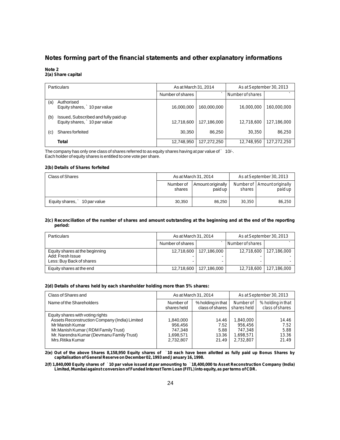#### **Note 2 2(a) Share capital**

|     | Particulars                                                         | As at March 31, 2014 |             | As at September 30, 2013 |               |
|-----|---------------------------------------------------------------------|----------------------|-------------|--------------------------|---------------|
|     |                                                                     | Number of shares     |             | Number of shares         |               |
| (a) | Authorised<br>Equity shares, 10 par value                           | 16,000,000           | 160,000,000 | 16,000,000               | 160,000,000   |
| (b) | Issued, Subscribed and fully paid up<br>Equity shares, 10 par value | 12,718,600           | 127,186,000 | 12,718,600               | 127, 186, 000 |
| (c) | Shares forfeited                                                    | 30.350               | 86.250      | 30.350                   | 86,250        |
|     | Total                                                               | 12.748.950           | 127,272,250 | 12.748.950               | 127.272.250   |

The company has only one class of shares referred to as equity shares having at par value of **`** 10/-. Each holder of equity shares is entitled to one vote per share.

### **2(b) Details of Shares forfeited**

| <b>Class of Shares</b>      |                     | As at March 31, 2014         | As at September 30, 2013 |                                          |
|-----------------------------|---------------------|------------------------------|--------------------------|------------------------------------------|
|                             | Number of<br>shares | Amount originally<br>paid up | shares                   | Number of   Amount originally<br>paid up |
| Equity shares, 10 par value | 30.350              | 86.250                       | 30.350                   | 86,250                                   |

### **2(c) Reconciliation of the number of shares and amount outstanding at the beginning and at the end of the reporting period:**

| <b>Particulars</b>                                                             | As at March 31, 2014 |             |                  |             | As at September 30, 2013 |  |
|--------------------------------------------------------------------------------|----------------------|-------------|------------------|-------------|--------------------------|--|
|                                                                                | Number of shares     |             | Number of shares |             |                          |  |
| Equity shares at the beginning<br>Add: Fresh Issue<br>Less: Buy Back of shares | 12,718,600           | 127.186.000 | 12.718.600       | 127.186.000 |                          |  |
| Equity shares at the end                                                       | 12.718.600           | 127.186.000 | 12.718.600 l     | 127.186.000 |                          |  |

#### **2(d) Details of shares held by each shareholder holding more than 5% shares:**

| Class of Shares and                                                                                                                                                                                          | As at March 31, 2014                                      |                                         |                                                           |                                         |  | As at September 30, 2013 |
|--------------------------------------------------------------------------------------------------------------------------------------------------------------------------------------------------------------|-----------------------------------------------------------|-----------------------------------------|-----------------------------------------------------------|-----------------------------------------|--|--------------------------|
| Name of the Shareholders                                                                                                                                                                                     | Number of<br>shares held                                  | % holding in that<br>class of shares    | Number of<br>shares held                                  | % holding in that<br>class of shares    |  |                          |
| Equity shares with voting rights<br>Assets Reconstruction Company (India) Limited<br>Mr Manish Kumar<br>Mr. Manish Kumar (RDM Family Trust)<br>Mr. Narendra Kumar (Devmanu Family Trust)<br>Mrs.Ritika Kumar | 1.840.000<br>956.456<br>747.348<br>1,698,571<br>2.732.807 | 14.46<br>7.52<br>5.88<br>13.36<br>21.49 | 1,840,000<br>956.456<br>747.348<br>1,698,571<br>2.732.807 | 14.46<br>7.52<br>5.88<br>13.36<br>21.49 |  |                          |

**2(e) Out of the above Shares 8,158,950 Equity shares of** `**10 each have been allotted as fully paid up Bonus Shares by capitalisation of General Reserve on December 02, 1993 and January 16, 1998.** 

**2(f) 1,840,000 Equity shares of** `**10 par value issued at par amounting to** `**18,400,000 to Asset Reconstruction Company (India) Limited, Mumbai against conversion of Funded Interest Term Loan (FITL) into equity, as per terms of CDR.**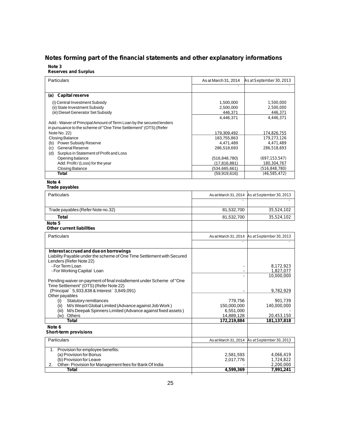### **Note 3**

#### **Reserves and Surplus**

| <b>Particulars</b>                                                   | As at March 31, 2014 | As at September 30, 2013 |
|----------------------------------------------------------------------|----------------------|--------------------------|
|                                                                      |                      |                          |
| <b>Capital reserve</b><br>(a)                                        |                      |                          |
| (i) Central Investment Subsidy                                       | 1,500,000            | 1,500,000                |
| (ii) State Investment Subsidy                                        | 2,500,000            | 2,500,000                |
| (iii) Diesel Generator Set Subsidy                                   | 446.371              | 446.371                  |
|                                                                      | 4,446,371            | 4,446,371                |
| Add:- Waiver of Principal Amount of Term Loan by the secured lenders |                      |                          |
| in pursuance to the scheme of "One Time Settlement" (OTS) (Refer     |                      |                          |
| Note No. 22)                                                         | 179,309,492          | 174,826,755              |
| <b>Closing Balance</b>                                               | 183,755,863          | 179,273,126              |
| <b>Power Subsidy Reserve</b><br>(b)                                  | 4,471,489            | 4,471,489                |
| <b>General Reserve</b><br>(c)                                        | 286,518,693          | 286,518,693              |
| Surplus in Statement of Profit and Loss<br>(d)                       |                      |                          |
| Opening balance                                                      | (516,848,780)        | (697, 153, 547)          |
| Add: Profit / (Loss) for the year                                    | (17,816,881)         | 180,304,767              |
| Closing Balance                                                      | (534, 665, 661)      | (516,848,780)            |
| Total                                                                | (59, 919, 616)       | (46,585,472)             |
|                                                                      |                      |                          |

### **Note 4**

### **Trade payables**

| Particulars                                                                                                                                 |                        | As at March 31, 2014 As at September 30, 2013 |
|---------------------------------------------------------------------------------------------------------------------------------------------|------------------------|-----------------------------------------------|
|                                                                                                                                             |                        |                                               |
| Trade payables (Refer Note no.32)                                                                                                           | 81,532,700             | 35,524,102                                    |
| <b>Total</b>                                                                                                                                | 81,532,700             | 35,524,102                                    |
| Note 5<br><b>Other current liabilities</b>                                                                                                  |                        |                                               |
| Particulars                                                                                                                                 |                        | As at March 31, 2014 As at September 30, 2013 |
|                                                                                                                                             |                        |                                               |
| Interest accrued and due on borrowings<br>Liability Payable under the scheme of One Time Settlement with Secured<br>Lenders (Refer Note 22) |                        |                                               |
| - For Term Loan                                                                                                                             |                        | 8,172,923                                     |
| - For Working Capital Loan                                                                                                                  |                        | 1,827,077                                     |
| Pending waiver on payment of final installement under Scheme of "One"<br>Time Settlement" (OTS) (Refer Note 22)                             |                        | 10.000.000                                    |
| (Principal 5,933,838 & Interest 3,849,091)<br>Other payables                                                                                |                        | 9,782,929                                     |
| <b>Statutory remittances</b><br>(i)                                                                                                         | 779,756                | 901,739                                       |
| M/s Wearit Global Limited (Advance against Job Work)<br>(ii)                                                                                | 150,000,000            | 140,000,000                                   |
| M/s Deepak Spinners Limited (Advance against fixed assets)<br>(iii)                                                                         | 6,551,000              |                                               |
| Others<br>(iv)                                                                                                                              | 14,889,128             | 20,453,150                                    |
| <b>Total</b>                                                                                                                                | 172,219,884            | 181,137,818                                   |
| Note 6<br><b>Short-term provisions</b>                                                                                                      |                        |                                               |
| Particulars                                                                                                                                 |                        | As at March 31, 2014 As at September 30, 2013 |
| 1. Provision for employee benefits:<br>(a) Provision for Bonus<br>(b) Provision for Leave                                                   | 2,581,593<br>2,017,776 | 4,066,419<br>1,724,822                        |
| Other-Provision for Management fees for Bank Of India<br>2.                                                                                 |                        | 2,200,000                                     |
| <b>Total</b>                                                                                                                                | 4,599,369              | 7,991,241                                     |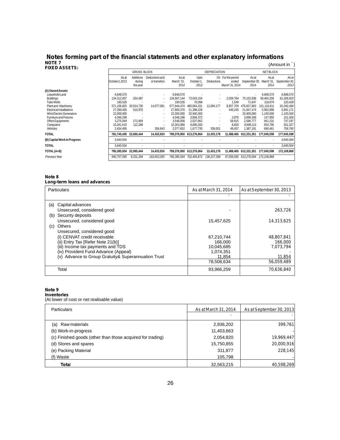#### **Notes forming part of the financial statements and other explanatory informations NOTE 7** (Amount in `)

| As at<br>October1,2013    | Additions<br>during<br>the year | Deductions and<br>or transfers                                 | As at<br>March '31,<br>2014 | Upto<br>October 1,<br>2013 | <b>Deductions</b>                                       | ended                | As at<br>2014                                         | As at<br>2014                                                                         | As at<br>2013                                                                                                                               |
|---------------------------|---------------------------------|----------------------------------------------------------------|-----------------------------|----------------------------|---------------------------------------------------------|----------------------|-------------------------------------------------------|---------------------------------------------------------------------------------------|---------------------------------------------------------------------------------------------------------------------------------------------|
| 6,848,570                 |                                 |                                                                | 6,848,570                   |                            |                                                         |                      |                                                       | 6,848,570                                                                             | 6,848,570                                                                                                                                   |
| 190,526                   |                                 |                                                                | 190,526                     | 70,098                     | ٠                                                       | 1,549                | 71,647                                                | 118,879                                                                               | 61,269,503<br>120,428                                                                                                                       |
| 571.106.825<br>27.289.400 | 20,914,730<br>510.970           | 14,077,081                                                     | 577.944.474<br>27.800.370   | 480.064.331<br>21,398,229  | 12,094,177                                              | 8.857.709<br>449.245 | 21.847.474                                            | 101.116.611<br>5,952,896                                                              | 91,042,494<br>5,891,171                                                                                                                     |
| 22,000,000<br>4,046,298   |                                 | $\sim$                                                         | 22.000.000<br>4.046.298     | 20,900,000<br>3,894,372    |                                                         | 3.976                | 20,900,000<br>3.898.348                               | 1,100,000<br>147,950                                                                  | 1,100,000<br>151,926                                                                                                                        |
| 3,275,049<br>10.241.610   | 272.959<br>112.298              |                                                                | 3,548,008<br>10.353.908     | 2,537,862<br>9,690,283     |                                                         | 58,915<br>8.830      | 2,596,777<br>9.699.113                                | 951,231<br>654,795                                                                    | 737,187<br>551,327                                                                                                                          |
| 2,434,495                 |                                 | 356,843                                                        | 2,077,652                   | 1,677,735                  | 339,001                                                 | 48,457               | 1,387,191                                             | 690,461                                                                               | 756,760                                                                                                                                     |
|                           |                                 | 14,433,924                                                     |                             |                            | 12,433,178                                              |                      |                                                       |                                                                                       | 177,045,598                                                                                                                                 |
| 3,640,504                 |                                 |                                                                |                             |                            |                                                         |                      |                                                       |                                                                                       | 3,640,504                                                                                                                                   |
| 3.640.504                 |                                 |                                                                |                             |                            |                                                         |                      |                                                       | $\overline{\phantom{a}}$                                                              | 3,640,504                                                                                                                                   |
|                           |                                 | 14,433,924                                                     | 789.376.950                 |                            | 12,433,178                                              | 11,488,465           |                                                       |                                                                                       | 172,109,868                                                                                                                                 |
| 940,707,595               | 8,331,394                       | 163,653,055                                                    | 785.385.934                 | 702,456,872                | 136,237,398                                             |                      |                                                       |                                                                                       |                                                                                                                                             |
|                           | 134.312.657                     | 254.487<br>781.745.430<br>22.065.444<br>785,385,934 22,065,444 | <b>GROSS BLOCK</b>          | 134.567.144                | 73,043,154<br>789.376.950<br>613,276,064<br>613,276,064 |                      | <b>DEPRECIATION</b><br>On For the period<br>2.059.784 | March' 31, 2014<br>75.102.938<br>476.827.863<br>11,488,465 612,331,351<br>612,331,351 | <b>NETBLOCK</b><br>September 30, March' 31, September 30,<br>59.464.206<br>177,045,598<br>177,045,598<br>47,056,590 613,276,064 172,109,868 |

### **Note 8**

#### **Long-term loans and advances**

| Particulars                                         | As at March 31, 2014     | As at September 30, 2013 |
|-----------------------------------------------------|--------------------------|--------------------------|
|                                                     | $\overline{\phantom{a}}$ |                          |
| Capital advances<br>(a)                             |                          |                          |
| Unsecured, considered good                          |                          | 263.726                  |
| Security deposits<br>(b)                            |                          |                          |
| Unsecured, considered good                          | 15,457,625               | 14,313,625               |
| Others<br>(C)                                       |                          |                          |
| Unsecured, considered good                          |                          |                          |
| (i) CENVAT credit receivable                        | 67.210.744               | 48,807,841               |
| (ii) Entry Tax [Refer Note 21(b)]                   | 166,000                  | 166,000                  |
| (iii) Income tax payments and TDS                   | 10,045,685               | 7,073,794                |
| (iv) Provident Fund Advance (Appeal)                | 1,074,351                |                          |
| (v) Advance to Group Gratuity& Superannuation Trust | 11.854                   | 11,854                   |
|                                                     | 78,508,634               | 56,059,489               |
| Total                                               | 93,966,259               | 70,636,840               |

#### **Note 9 Inventories**

(At lower of cost or net realisable value)

| <b>Particulars</b>                                         | As at March 31, 2014 | As at September 30, 2013 |
|------------------------------------------------------------|----------------------|--------------------------|
|                                                            | $\sim$               |                          |
| (a) Raw materials                                          | 2,936,202            | 399,761                  |
| (b) Work-in-progress                                       | 11,403,663           |                          |
| (c) Finished goods (other than those acquired for trading) | 2,054,820            | 19,969,447               |
| (d) Stores and spares                                      | 15,750,855           | 20,000,916               |
| (e) Packing Material                                       | 311,877              | 228,145                  |
| (f) Waste                                                  | 105,798              |                          |
| Total                                                      | 32,563,215           | 40,598,269               |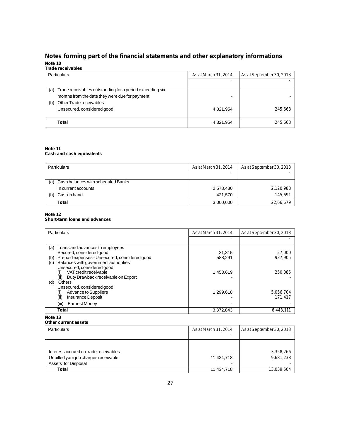| <b>Trade receivables</b>                                        |                      |                          |
|-----------------------------------------------------------------|----------------------|--------------------------|
| <b>Particulars</b>                                              | As at March 31, 2014 | As at September 30, 2013 |
|                                                                 | $\lambda$            |                          |
| Trade receivables outstanding for a period exceeding six<br>(a) |                      |                          |
| months from the date they were due for payment                  |                      |                          |
| Other Trade receivables<br>(b)                                  |                      |                          |
| Unsecured, considered good                                      | 4.321.954            | 245.668                  |
|                                                                 |                      |                          |
| Total                                                           | 4,321,954            | 245.668                  |
|                                                                 |                      |                          |

### **Note 11 Cash and cash equivalents**

| <b>Particulars</b>                        | As at March 31, 2014     | As at September 30, 2013 |
|-------------------------------------------|--------------------------|--------------------------|
|                                           | $\overline{\phantom{a}}$ |                          |
| Cash balances with scheduled Banks<br>(a) |                          |                          |
| In current accounts                       | 2,578,430                | 2,120,988                |
| Cash in hand<br>(b)                       | 421.570                  | 145,691                  |
| Total                                     | 3,000,000                | 22,66,679                |

### **Note 12 Short-term loans and advances**

| Particulars                                          | As at March 31, 2014 | As at September 30, 2013 |
|------------------------------------------------------|----------------------|--------------------------|
|                                                      | $\lambda$            |                          |
| (a)<br>Loans and advances to employees               |                      |                          |
| Secured, considered good                             | 31,315               | 27,000                   |
| Prepaid expenses - Unsecured, considered good<br>(b) | 588.291              | 937.905                  |
| Balances with government authorities<br>(c)          |                      |                          |
| Unsecured, considered good                           |                      |                          |
| VAT credit receivable<br>(i)                         | 1,453,619            | 250.085                  |
| Duty Drawback receivable on Export<br>(ii)           |                      |                          |
| (d)<br>Others                                        |                      |                          |
| Unsecured, considered good                           |                      |                          |
| Advance to Suppliers<br>$\mathbf{(i)}$               | 1.299.618            | 5,056,704                |
| (i)<br><b>Insurance Deposit</b>                      |                      | 171.417                  |
|                                                      |                      |                          |
| (iii)<br>Earnest Money                               |                      |                          |
| Total                                                | 3.372.843            | 6.443.111                |

**Note 13** 

### **Other current assets**

| Particulars                           | As at March 31, 2014     | As at September 30, 2013 |
|---------------------------------------|--------------------------|--------------------------|
|                                       | $\overline{\phantom{0}}$ |                          |
|                                       |                          |                          |
| Interest accrued on trade receivables |                          | 3,358,266                |
| Unbilled yarn job charges receivable  | 11.434.718               | 9.681,238                |
| Assets for Disposal                   |                          |                          |
| Total                                 | 11,434,718               | 13,039,504               |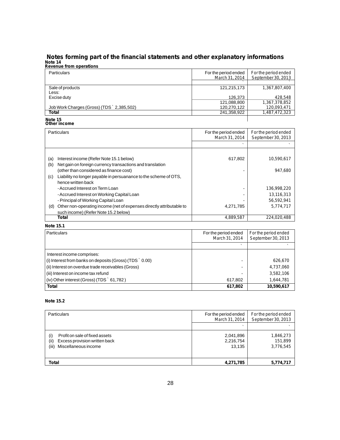# **Notes forming part of the financial statements and other explanatory informations Note 14 Revenue from operations**

| <b>Particulars</b>                       | For the period ended<br>March 31, 2014 | For the period ended<br>September 30, 2013 |
|------------------------------------------|----------------------------------------|--------------------------------------------|
|                                          |                                        |                                            |
| Sale of products                         | 121.215.173                            | 1,367,807,400                              |
| Less:                                    |                                        |                                            |
| Excise duty                              | 126.373                                | 428.548                                    |
|                                          | 121,088,800                            | 1,367,378,852                              |
| Job Work Charges (Gross) (TDS 2,385,502) | 120,270,122                            | 120,093,471                                |
| Total                                    | 241.358.922                            | 1,487,472,323                              |
| Note 15                                  |                                        |                                            |

# **Note 15 Other income**

|     | Particulars                                                          | For the period ended | For the period ended |
|-----|----------------------------------------------------------------------|----------------------|----------------------|
|     |                                                                      | March 31, 2014       | September 30, 2013   |
|     |                                                                      |                      |                      |
|     |                                                                      |                      |                      |
| (a) | Interest income (Refer Note 15.1 below)                              | 617,802              | 10,590,617           |
| (b) | Net gain on foreign currency transactions and translation            |                      |                      |
|     | (other than considered as finance cost)                              |                      | 947,680              |
| (c) | Liability no longer payable in persuanance to the scheme of OTS,     |                      |                      |
|     | hence written back                                                   |                      |                      |
|     | - Accrued Interest on Term Loan                                      |                      | 136,998,220          |
|     | - Accrued Interest on Working Capital Loan                           |                      | 13,116,313           |
|     | - Principal of Working Capital Loan                                  |                      | 56,592,941           |
| (d) | Other non-operating income (net of expenses directly attributable to | 4,271,785            | 5,774,717            |
|     | such income) (Refer Note 15.2 below)                                 |                      |                      |
|     | Total                                                                | 4,889,587            | 224,020,488          |

### **Note 15.1**

| Particulars                                                      | For the period ended<br>March 31, 2014 | For the period ended<br>September 30, 2013 |
|------------------------------------------------------------------|----------------------------------------|--------------------------------------------|
|                                                                  |                                        |                                            |
| Interest income comprises:                                       |                                        |                                            |
| (i) Interest from banks on deposits (Gross) (TDS $\degree$ 0.00) |                                        | 626,670                                    |
| (ii) Interest on overdue trade receivables (Gross)               |                                        | 4,737,060                                  |
| (iii) Interest on income tax refund                              |                                        | 3,582,106                                  |
| (iv) Other interest (Gross) (TDS ` 61,782)                       | 617,802                                | 1,644,781                                  |
| <b>Total</b>                                                     | 617,802                                | 10,590,617                                 |

### **Note 15.2**

| Particulars                                                                                                     | For the period ended<br>March 31, 2014 | For the period ended<br>September 30, 2013 |  |
|-----------------------------------------------------------------------------------------------------------------|----------------------------------------|--------------------------------------------|--|
|                                                                                                                 |                                        |                                            |  |
| Profit on sale of fixed assets<br>(i)<br>Excess provision written back<br>(ii)<br>Miscellaneous income<br>(iii) | 2,041,896<br>2,216,754<br>13,135       | 1,846,273<br>151,899<br>3,776,545          |  |
| Total                                                                                                           | 4,271,785                              | 5,774,717                                  |  |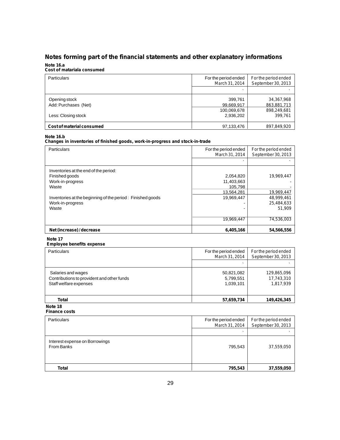### **Note 16.a**

**Cost of matariala consumed**

| <b>Particulars</b>                                           | For the period ended<br>For the period ended<br>March 31, 2014<br>September 30, 2013 |                                                     |  |
|--------------------------------------------------------------|--------------------------------------------------------------------------------------|-----------------------------------------------------|--|
|                                                              |                                                                                      |                                                     |  |
| Opening stock<br>Add: Purchases (Net)<br>Less: Closing stock | 399.761<br>99.669.917<br>100,069,678<br>2,936,202                                    | 34,367,968<br>863,881,713<br>898,249,681<br>399,761 |  |
| Cost of material consumed                                    | 97,133,476                                                                           | 897,849,920                                         |  |

### **Note 16.b**

**Changes in inventories of finished goods, work-in-progress and stock-in-trade** 

| Net (increase) / decrease                                  | 6,405,166            | 54,566,556           |
|------------------------------------------------------------|----------------------|----------------------|
|                                                            | 19,969,447           | 74,536,003           |
| Waste                                                      |                      | 51,909               |
| Work-in-progress                                           |                      | 25,484,633           |
| Inventories at the beginning of the period: Finished goods | 19,969,447           | 48,999,461           |
|                                                            | 13.564.281           | 19.969.447           |
| Waste                                                      | 105.798              |                      |
| Work-in-progress                                           | 11,403,663           |                      |
| Finished goods                                             | 2,054,820            | 19,969,447           |
| Inventories at the end of the period:                      |                      |                      |
|                                                            |                      |                      |
|                                                            | March 31, 2014       | September 30, 2013   |
| <b>Particulars</b>                                         | For the period ended | For the period ended |

### **Note 17**

### **Employee benefits expense**

| <b>Particulars</b>                                                                         | For the period ended<br>March 31, 2014 | For the period ended<br>September 30, 2013 |  |
|--------------------------------------------------------------------------------------------|----------------------------------------|--------------------------------------------|--|
|                                                                                            |                                        |                                            |  |
| Salaries and wages<br>Contributions to provident and other funds<br>Staff welfare expenses | 50,821,082<br>5,799,551<br>1.039.101   | 129,865,096<br>17,743,310<br>1,817,939     |  |
| Total                                                                                      | 57,659,734                             | 149,426,345                                |  |

#### **Note 18 Finance costs**

| <b>Particulars</b>                           | For the period ended<br>For the period ended<br>March 31, 2014<br>September 30, 2013 |                          |  |
|----------------------------------------------|--------------------------------------------------------------------------------------|--------------------------|--|
|                                              | $\overline{\phantom{a}}$                                                             | $\overline{\phantom{0}}$ |  |
| Interest expense on Borrowings<br>From Banks | 795,543                                                                              | 37,559,050               |  |
| Total                                        | 795,543                                                                              | 37,559,050               |  |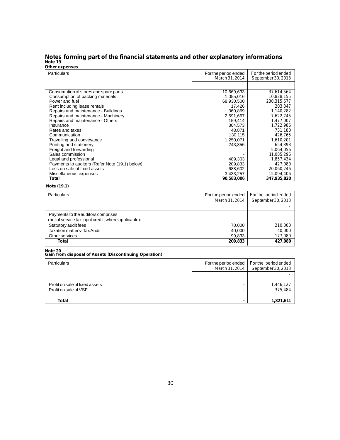# **Notes forming part of the financial statements and other explanatory informations Note 19 Other expenses**

| UWWW. UNNUNUU                                  |                                        |                                            |
|------------------------------------------------|----------------------------------------|--------------------------------------------|
| Particulars                                    | For the period ended<br>March 31, 2014 | For the period ended<br>September 30, 2013 |
|                                                |                                        |                                            |
| Consumption of stores and spare parts          | 10,669,633                             | 37,614,564                                 |
| Consumption of packing materials               | 1,055,016                              | 10,828,155                                 |
| Power and fuel                                 | 68,930,500                             | 230,315,677                                |
| Rent including lease rentals                   | 17,426                                 | 203,347                                    |
| Repairs and maintenance - Buildings            | 360,869                                | 1,140,282                                  |
| Repairs and maintenance - Machinery            | 2,591,667                              | 7,622,745                                  |
| Repairs and maintenance - Others               | 159,414                                | 1,477,007                                  |
| Insurance                                      | 304,573                                | 1,722,986                                  |
| Rates and taxes                                | 48,871                                 | 731,180                                    |
| Communication                                  | 130.115                                | 426,765                                    |
| Travelling and conveyance                      | 1,250,071                              | 1,610,201                                  |
| Printing and stationery                        | 243,856                                | 654,393                                    |
| Freight and forwarding                         |                                        | 5,064,056                                  |
| Sales commission                               |                                        | 11,085,296                                 |
| Legal and professional                         | 489,303                                | 1,857,434                                  |
| Payments to auditors (Refer Note (19.1) below) | 209,833                                | 427,080                                    |
| Loss on sale of fixed assets                   | 688,602                                | 20,060,246                                 |
| Miscellaneous expenses                         | 3,433,257                              | 15,094,406                                 |
| Total                                          | 90,583,006                             | 347,935,820                                |

### **Note (19.1)**

| <b>Particulars</b>                                   | For the period ended<br>March 31, 2014 | For the period ended<br>September 30, 2013 |
|------------------------------------------------------|----------------------------------------|--------------------------------------------|
|                                                      |                                        |                                            |
| Payments to the auditors comprises                   |                                        |                                            |
| (net of service tax input credit, where applicable): |                                        |                                            |
| Statutory audit fees                                 | 70.000                                 | 210,000                                    |
| <b>Taxation matters-Tax Audit</b>                    | 40.000                                 | 40.000                                     |
| Other services                                       | 99,833                                 | 177,080                                    |
| Total                                                | 209,833                                | 427,080                                    |

# **Note 20 Gain from disposal of Assets (Discontinuing Operation)**

| <b>Particulars</b>                                      | For the period ended<br>March 31, 2014 | For the period ended<br>September 30, 2013 |
|---------------------------------------------------------|----------------------------------------|--------------------------------------------|
|                                                         |                                        |                                            |
| Profit on sale of fixed assets<br>Profit on sale of VSF |                                        | 1,446,127<br>375.484                       |
| Total                                                   |                                        | 1,821,611                                  |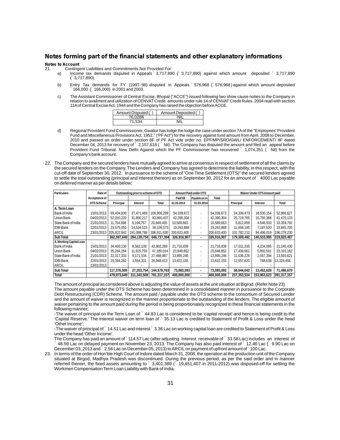# **Notes to Account**

- **21. Contingent Liabilities and Commitments Not Provided Formands**<br>21. a) Income tax demands disputed in Appeals 3.717.89
	- Income tax demands disputed in Appeals 3,717,890 (`3,717,890) against which amount deposited `3,717,890 (` 3,717,890).
	- b) Entry Tax demands for FY (1997-98) disputed in Appeals ` 576,968 (` 576,968) against which amount deposited ` 166,000 (` 166,000) in 2001 and 2003.
	- c) The Assistant Commissioner of Central Excise, Bhopal (''ACCE") issued following two show cause noties to the Company in relation to availment and utilization of CENVAT Credit amounts under rule 14 of CENVAT Credit Rules, 2004 read with section 11Aof Central Excise Act, 1944 and the Company has raised the objection before ACCE.

| Amount Disputed (`) | Amount Deposited ( |  |
|---------------------|--------------------|--|
| 76.028N             | <b>NIL</b>         |  |
| 71.534              |                    |  |

- d) Regional Provident Fund Commissioner, Gwalior has lodge the lodge the case under section 7Aof the ''Employees' Provident Fund and Miscellaneous Provisions Act, 1952." ('PF Act") for the recovery against fund amount from April, 2008 to December, 2010 and passed an order under section 8F of PF Act vide order no. EPF/MP/SRO/GWL/ ENFORCEMENT/ 8F dated December 04, 2013 for recovery of ` 2,157,618 ( ` Nil). The Company has disputed the amount and filed an appeal before Provident Fund Tribunal. New Delhi Against which the PF Commissioner has recovered ` 1,074,351 (` Nil) from the Company's bank account.
- 22. The Company and the secured lenders have mutually agreed to arrive at consensus in respect of settlement of all the claims by the secured lenders on the Company. The Lenders and Company has agreed to determine the liability, in this respect, with the cut-off date of September 30, 2012. In pursuance to the scheme of "One Time Settlement (OTS)" the secured lenders agreed to settle the total outstanding (principal and interest thereon) as on September 30, 2012 for an amount of ` 4000 Lac payable on deferred manner as per details below;

| Particulars             | Date of       |             | Outstanding prior to scheme of OTS |             | Amount Paid under OTS |                          |             |             | Waiver Under OTS Amount paid |             |
|-------------------------|---------------|-------------|------------------------------------|-------------|-----------------------|--------------------------|-------------|-------------|------------------------------|-------------|
|                         | Acceptance of |             |                                    |             | Paid till             | Payable as on            | Total       |             |                              |             |
|                         | OTS Scheme    | Principal   | Interest                           | Total       | 31.03.2014            | 31.03.2014               |             | Principal   | Interest                     | Total       |
| A. Term Loan            |               |             |                                    |             |                       |                          |             |             |                              |             |
| Bank of India           | 15/01/2013    | 69,434,830  | 37.471.469                         | 106.906.299 | 54,039,672            | $\overline{\phantom{a}}$ | 54.039.672  | 34,336,473  | 18.530.154                   | 52,866,627  |
| Union Bank              | 04/02/2013    | 52.010.220  | 31.850.217                         | 83.860.437  | 42,390,304            | $\overline{\phantom{a}}$ | 42,390,304  | 25.719.765  | 15.750.368                   | 41,470,133  |
| State Bank of India     | 21/01/2013    | 11,754,698  | 9,194,757                          | 20.949.455  | 10,589,663            | $\overline{\phantom{a}}$ | 10,589,663  | 5,812,859   | 4,546,933                    | 10,359,792  |
| <b>IDBI Bank</b>        | 22/01/2013    | 23,575,050  | 14,534,523                         | 38,109,573  | 19,263,868            | $\overline{\phantom{a}}$ | 19,263,868  | 11,658,185  | 7,187,520                    | 18,845,705  |
| <b>ARCIL</b>            | 23/01/2013    | 205,822,842 | 191,088,788                        | 396,911,630 | 200,633,400           |                          | 200,633,400 | 101,782,210 | 94,496,019                   | 196,278,230 |
| Sub Total               |               | 362.597.640 | 284.139.754                        | 646.737.394 | 326.916.907           |                          | 326.916.907 | 179.309.492 | 140.510.995                  | 319.820.487 |
| A. Working Capital Loan |               |             |                                    |             |                       |                          |             |             |                              |             |
| Bank of India           | 15/01/2013    | 34,400,130  | 8.562.139                          | 42.962.269  | 21,716,839            | $\overline{\phantom{a}}$ | 21.716.839  | 17.011.335  | 4.234.095                    | 21,245,430  |
| Union Bank              | 04/02/2013    | 35,264,264  | 11,915,750                         | 47,180,014  | 23,848,852            | $\overline{\phantom{a}}$ | 23,848,852  | 17,438,661  | 5,892,501                    | 23,331,162  |
| State Bank of India     | 21/01/2013    | 22,317,333  | 5,171,534                          | 27.488.867  | 13,895,246            | $\overline{\phantom{a}}$ | 13,895,246  | 11,036,226  | 2,557,394                    | 13,593,621  |
| <b>IDBI Bank</b>        | 22/01/2013    | 25,394,282  | 1,554,331                          | 26,948,613  | 13,622,155            | $\overline{\phantom{a}}$ | 13,622,155  | 12,557,820  | 768,638                      | 13,326,458  |
| ARCIL                   | 23/01/2013    |             |                                    |             |                       |                          |             |             |                              |             |
| Sub Total               |               | 117,376,009 | 27.203.754                         | 144,579,763 | 73,083,093            | $\overline{\phantom{a}}$ | 73,083,093  | 58,044,042  | 13,452,628                   | 71,496,670  |
| Total                   |               | 479.973.649 | 311.343.508                        | 791.317.157 | 400.000.000           |                          | 400,000,000 | 237,353,534 | 153,963,623                  | 391.317.157 |

The amount of principal as considered above is adjusting the value of assets at the unit situation at Bigrod. (Refer Note 23) The amount payable under the OTS Scheme has been determined in a consolidated manner in pursuance to the Corporate Debt Restructuring (CDR) Scheme. The amount paid / payable under the OTS scheme to the consortium of Secured Lender and the amount of waiver is recognized in the manner proportionate to the outstanding of the lenders. The eligible amount of waiver pertaining to the amount paid during the period is being proportionately recognized in these financial statements in the following manner;

-The waiver of principal on the Term Loan of ` 44.83 Lac is considered to be 'capital receipt' and hence is being credit to the 'Capital Reserve.' The interest waiver on term loan of ` 35.13 Lac is credited to Statement of Profit & Loss under the head 'Other Income';

-The waiver of principal of ` 14.51 Lac and interest ` 3.36 Lac on working capital loan are credited to Statement of Profit & Loss under the head 'Other Income'.

The Company has paid an amount of `114.57 Lac (after adjusting Interest receivable of ` 33.58 Lac) includes an interest of ` 48.59 Lac on delayed payment on November 23, 2013. The Company has also paid interest of ` 12.46 Lac (` 9.90 Lac on December 03, 2013 and ` 2.56 Lac on December 05, 2013) to ARCILon payment of upfront amount of ` 100 Lac.

23. In terms of the order of Hon'ble High Court of Indore dated March 31, 2008, the operation at the production unit of the Company situated at Birgod, Madhya Pradesh was discontinued. During the previous period, as per the said order and in manner referred therein, the fixed assets amounting to ` 3,401,389 (` 19,451,407 in 2011-2012) was disposed-off for settling the Workmen Compensation Term Loan Liability with Bank of India.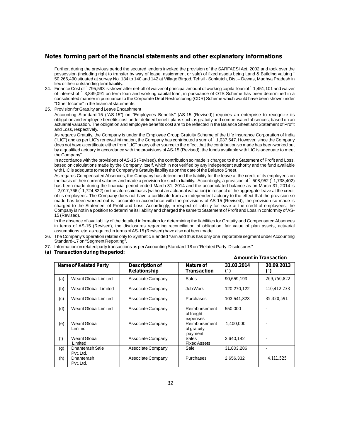Further, during the previous period the secured lenders invoked the provision of the SARFAESI Act, 2002 and took over the possession (including right to transfer by way of lease, assignment or sale) of fixed assets being Land & Building valuing 50,266,490 situated at survey No. 134 to 140 and 142 at Village Birgod, Tehsil - Sonkutch, Dist – Dewas, Madhya Pradesh in lieu of their outstanding term liability.

- 24. Finance Cost of ` 795,593 is shown after net-off of waiver of principal amount of working capital loan of ` 1,451,101 and waiver of interest of ` 3,849,091 on term loan and working capital loan, in pursuance of OTS Scheme has been determined in a consolidated manner in pursuance to the Corporate Debt Restructuring (CDR) Scheme which would have been shown under "Other Income" in the financial statements.
- 25. Provision for Gratuity and Leave Encashment

Accounting Standard-15 ("AS-15") on "Employees Benefits" [AS-15 (Revised)] requires an enterprise to recognize its obligation and employee benefits cost under defined benefit plans such as gratuity and compensated absences, based on an actuarial valuation. The obligation and employee benefits cost are to be reflected in the Balance Sheet and Statement of Profit and Loss, respectively.

As regards Gratuity, the Company is under the Employee Group Gratuity Scheme of the Life Insurance Corporation of India ("LIC") and as per LIC's renewal intimation, the Company has contributed a sum of ` 1,037,547. However, since the Company does not have a certificate either from "LIC" or any other source to the effect that the contribution so made has been worked out by a qualified actuary in accordance with the provisions of AS-15 (Revised), the funds available with LIC is adequate to meet the Company"

In accordance with the provisions of AS-15 (Revised), the contribution so made is charged to the Statement of Profit and Loss, based on calculations made by the Company, itself, which in not verified by any independent authority and the fund available with LIC is adequate to meet the Company's Gratuity liability as on the date of the Balance Sheet.

As regards Compensated Absences, the Company has determined the liability for the leave at the credit of its employees on the basis of their current salaries and made a provision for such a liability. Accordingly, a provision of ` 508,952 (`1,738,402) has been made during the financial period ended March 31, 2014 and the accumulated balance as on March 31, 2014 is ` 2,017,766 (`1,724,822) on the aforesaid basis (without an actuarial valuation) in respect of the aggregate leave at the credit of its employees. The Company does not have a certificate from an independent actuary to the effect that the provision so made has been worked out is accurate in accordance with the provisions of AS-15 (Revised), the provision so made is charged to the Statement of Profit and Loss. Accordingly, in respect of liability for leave at the credit of employees, the Company is not in a position to determine its liability and charged the same to Statement of Profit and Loss in conformity of AS-15 (Revised).

In the absence of availability of the detailed information for determining the liabilities for Gratuity and Compensated Absences in terms of AS-15 (Revised), the disclosures regarding reconciliation of obligation, fair value of plan assets, actuarial assumptions, etc. as required in terms of AS-15 (Revised) have also not been made.

26. The Company's operation relates only to Synthetic Blended Yarn and thus has only one reportable segment under Accounting Standard-17 on "Segment Reporting".

27. Information on related party transactions as per Accounting Standard-18 on "Related Party Disclosures"

#### **(a) Transaction during the period:**

### **Amount in Transaction**

|     | <b>Name of Related Party</b>        | Description of<br>Relationship | Nature of<br><b>Transaction</b>         | 31.03.2014<br>$(\dot{\phantom{0}})$ | 30.09.2013  |
|-----|-------------------------------------|--------------------------------|-----------------------------------------|-------------------------------------|-------------|
| (a) | Wearit Global Limited               | Associate Company              | <b>Sales</b>                            | 90,659,193                          | 269,750,822 |
| (b) | Wearit Global Limited               | Associate Company              | Job Work                                | 120,270,122                         | 110,412,233 |
| (c) | Wearit Global Limited               | Associate Company              | Purchases                               | 103,541,823                         | 35,320,591  |
| (d) | Wearit Global Limited               | Associate Company              | Reimbursement<br>of freight<br>expenses | 550,000                             |             |
| (e) | Wearit Global<br>Limited            | Associate Company              | Reimbursement<br>of gratuity<br>payment | 1.400.000                           |             |
| (f) | Wearit Global<br>Limited            | Associate Company              | Sales<br><b>Fixed Assets</b>            | 3.640.142                           |             |
| (g) | <b>Dhanterash Sale</b><br>Pvt. Ltd. | Associate Company              | Sale                                    | 31,803,286                          |             |
| (h) | <b>Dhanterash</b><br>Pvt. Ltd.      | Associate Company              | Purchases                               | 2,656,332                           | 4,111,525   |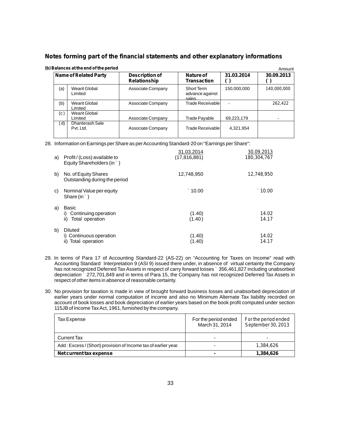|                              | Balances at the end of the period |                   |                                        |                                                                                 | Amount      |            |            |
|------------------------------|-----------------------------------|-------------------|----------------------------------------|---------------------------------------------------------------------------------|-------------|------------|------------|
| <b>Name of Related Party</b> |                                   |                   |                                        | <b>Description of</b><br>Nature of<br><b>Relationship</b><br><b>Transaction</b> |             | 31.03.2014 | 30.09.2013 |
| (a)                          | Wearit Global<br>Limited          | Associate Company | Short Term<br>advance against<br>sales | 150,000,000                                                                     | 140,000,000 |            |            |
| (b)                          | Wearit Global<br>Limited          | Associate Company | Trade Receivable                       |                                                                                 | 262,422     |            |            |
| (c)                          | Wearit Global<br>Limited          | Associate Company | Trade Payable                          | 69,223,179                                                                      |             |            |            |
| d)                           | Dhanterash Sale<br>Pvt. Ltd.      | Associate Company | Trade Receivable                       | 4,321,954                                                                       |             |            |            |

### **(b) Balances at the end of the period**

28. Information on Earnings per Share as per Accounting Standard-20 on "Earnings per Share":

| a) | Profit / (Loss) available to<br>Equity Shareholders (in `)                  | 31.03.2014<br>(17, 816, 881) | 30.09.2013<br>180,304,767 |
|----|-----------------------------------------------------------------------------|------------------------------|---------------------------|
| b) | No. of Equity Shares<br>Outstanding during the period                       | 12.748.950                   | 12,748,950                |
| C) | Nominal Value per equity<br>Share (in $\dot{ }$ )                           | $\degree$ 10.00              | 10.00                     |
| a) | Basic<br>Continuing operation<br>I)<br>Total operation<br>ii)               | (1.40)<br>(1.40)             | 14.02<br>14.17            |
| b) | <b>Diluted</b><br>i) Continuous operation<br>Total operation<br>$\parallel$ | (1.40)<br>(1.40)             | 14.02<br>14.17            |

- 29. In terms of Para 17 of Accounting Standard-22 (AS-22) on "Accounting for Taxes on Income" read with Accounting Standard Interpretation 9 (ASI 9) issued there under, in absence of virtual certainty the Company has not recognized Deferred Tax Assets in respect of carry forward losses ` 356,461,827 including unabsorbed depreciation > 272,701,849 and in terms of Para 15, the Company has not recognized Deferred Tax Assets in respect of other items in absence of reasonable certainty.
- 30. No provision for taxation is made in view of brought forward business losses and unabsorbed depreciation of earlier years under normal computation of income and also no Minimum Alternate Tax liability recorded on account of book losses and book depreciation of earlier years based on the book profit computed under section 115JB of Income Tax Act, 1961, furnished by the company.

| Tax Expense                                                    | For the period ended<br>March 31, 2014 | For the period ended<br>September 30, 2013 |
|----------------------------------------------------------------|----------------------------------------|--------------------------------------------|
| <b>Current Tax</b>                                             |                                        | ۰                                          |
| Add: Excess / (Short) provision of Income tax of earlier year. |                                        | 1.384.626                                  |
| Net current tax expense                                        |                                        | 1,384,626                                  |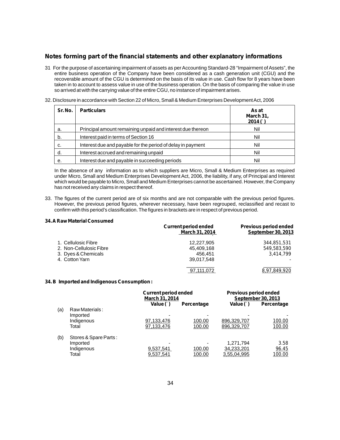- 31 For the purpose of ascertaining impairment of assets as per Accounting Standard-28 "Impairment of Assets", the entire business operation of the Company have been considered as a cash generation unit (CGU) and the recoverable amount of the CGU is determined on the basis of its value in use. Cash flow for 8 years have been taken in to account to assess value in use of the business operation. On the basis of comparing the value in use so arrived at with the carrying value of the entire CGU, no instance of impairment arises.
- 32. Disclosure in accordance with Section 22 of Micro, Small & Medium Enterprises Development Act, 2006

| Sr. No. | <b>Particulars</b>                                          | As at<br>March 31,<br>2014( |
|---------|-------------------------------------------------------------|-----------------------------|
| a.      | Principal amount remaining unpaid and interest due thereon  | Nil                         |
| b.      | Interest paid in terms of Section 16                        | Nil                         |
| c.      | Interest due and payable for the period of delay in payment | Nil                         |
| d.      | Interest accrued and remaining unpaid                       | Nil                         |
| е.      | Interest due and payable in succeeding periods              | Nil                         |

In the absence of any information as to which suppliers are Micro, Small & Medium Enterprises as required under Micro, Small and Medium Enterprises Development Act, 2006, the liability, if any, of Principal and Interest which would be payable to Micro, Small and Medium Enterprises cannot be ascertained. However, the Company has not received any claims in respect thereof.

33. The figures of the current period are of six months and are not comparable with the previous period figures. However, the previous period figures, wherever necessary, have been regrouped, reclassified and recast to confirm with this period's classification. The figures in brackets are in respect of previous period.

### **34. ARaw Material Consumed**

|                         | <b>Current period ended</b><br>March 31, 2014 | Previous period ended<br>September 30, 2013 |
|-------------------------|-----------------------------------------------|---------------------------------------------|
| 1. Cellulosic Fibre     | 12.227.905                                    | 344,851,531                                 |
| 2. Non-Cellulosic Fibre | 45,409,168                                    | 549,583,590                                 |
| 3. Dyes & Chemicals     | 456.451                                       | 3.414.799                                   |
| 4. Cotton Yarn          | 39.017.548                                    |                                             |
|                         | 97,111,072                                    | 8,97,849,920                                |

### **34. B Imported and Indigenous Consumption :**

|     |                       |             | <b>Current period ended</b><br>March 31, 2014 |             | Previous period ended<br>September 30, 2013 |  |
|-----|-----------------------|-------------|-----------------------------------------------|-------------|---------------------------------------------|--|
|     |                       | Value $( )$ | Percentage                                    | Value $( )$ | Percentage                                  |  |
| (a) | Raw Materials:        |             |                                               |             |                                             |  |
|     | Imported              | -           | $\overline{\phantom{0}}$                      | -           |                                             |  |
|     | Indigenous            | 97,133,476  | 100.00                                        | 896,329,707 | 100.00                                      |  |
|     | Total                 | 97.133.476  | 100.00                                        | 896.329.707 | 100.00                                      |  |
| (b) | Stores & Spare Parts: |             |                                               |             |                                             |  |
|     | Imported              |             | ٠                                             | 1,271,794   | 3.58                                        |  |
|     | Indigenous            | 9,537,541   | 100.00                                        | 34,233,201  | 96.45                                       |  |
|     | Total                 | 9,537,541   | 100.00                                        | 3,55,04,995 | 100.00                                      |  |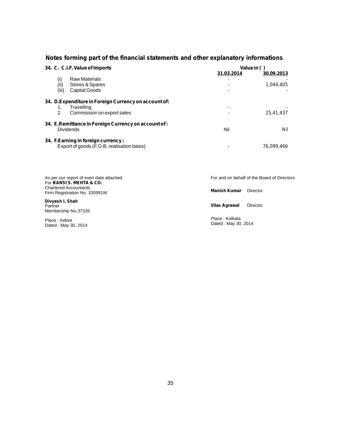| 34. C. C.I.F. Value of Imports |       |                                                       | Value in $( )$ |            |
|--------------------------------|-------|-------------------------------------------------------|----------------|------------|
|                                |       |                                                       | 31.03.2014     | 30.09.2013 |
|                                | (i)   | <b>Raw Materials</b>                                  |                |            |
|                                | (iii) | Stores & Spares                                       |                | 1,044,405  |
|                                | (iii) | Capital Goods                                         |                |            |
|                                |       | 34. D. Expenditure in Foreign Currency on account of: |                |            |
|                                | 1.    | Travelling                                            | ۰              |            |
|                                | 2.    | Commission on export sales                            | ۰              | 25.41.437  |
|                                |       | 34. E.Remittance in Foreign Currency on account of :  |                |            |
|                                |       | <b>Dividends</b>                                      | Nil            | Nil        |
|                                |       | 34. F. Earning in foreign currency:                   |                |            |
|                                |       | Export of goods (F.O.B. realisation basis)            |                | 76.099.466 |

| As per our report of even date attached<br>For <b>BANSI S. MEHTA &amp; CO.</b> | For and on behalf of the Board of Directors |          |  |
|--------------------------------------------------------------------------------|---------------------------------------------|----------|--|
| <b>Chartered Accountants</b><br>Firm Registration No. 100991W                  | Manish Kumar                                | Director |  |
| Divyesh I. Shah<br>Partner<br>Membership No.37326                              | <b>Vilas Agrawal</b>                        | Director |  |
| Place: Indore<br>Dated: May 30, 2014                                           | Place: Kolkata<br>Dated: May 30, 2014       |          |  |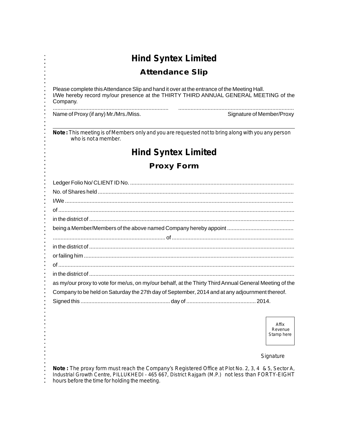# **Hind Syntex Limited**

# **Attendance Slip**

Please complete this Attendance Slip and hand it over at the entrance of the Meeting Hall. I/We hereby record my/our presence at the THIRTY THIRD ANNUAL GENERAL MEETING of the Company.

| Name of Proxy (if any) Mr./Mrs./Miss. | Signature of Member/Proxy |
|---------------------------------------|---------------------------|

*Note : This meeting is of Members only and you are requested not to bring along with you any person who is not a member.*

# **Hind Syntex Limited**

# **Proxy Form**

| as my/our proxy to vote for me/us, on my/our behalf, at the Thirty Third Annual General Meeting of the |
|--------------------------------------------------------------------------------------------------------|
| Company to be held on Saturday the 27th day of September, 2014 and at any adjournment thereof.         |
|                                                                                                        |

*Affix Revenue Stamp here*

*Signature*

**Note**: The proxy form must reach the Company's Registered Office at Plot No. 2, 3, 4 & 5, Sector A, *Industrial Growth Centre, PILLUKHEDI - 465 667, District Rajgarh (M.P.) not less than FORTY-EIGHT hours before the time for holding the meeting.*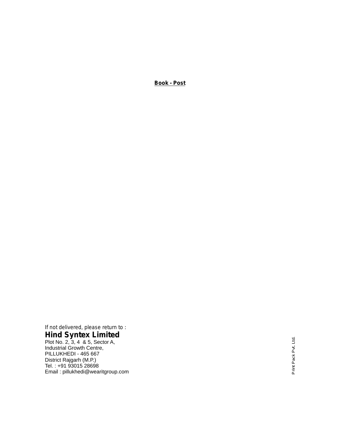**Book - Post**

*If not delivered, please return to :* **Hind Syntex Limited**

Plot No. 2, 3, 4 & 5, Sector A, Industrial Growth Centre, PILLUKHEDI - 465 667 District Rajgarh (M.P.) Tel. : +91 93015 28698 Plot No. 2, 3, 4 & 5, Sector A,<br>
Industrial Growth Centre,<br>
PILLUKHEDI - 465 667<br>
District Rajgarh (M.P.)<br>
Tel. : +91 93015 28698<br>
Email : pillukhedi@wearitgroup.com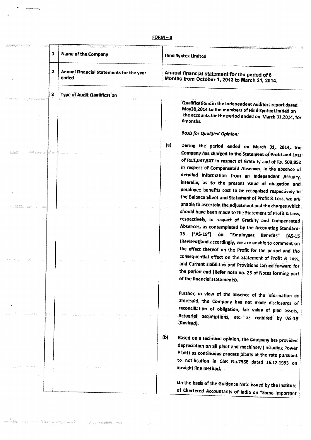gana

 $\mathcal{A}^{\mathcal{A}}$ 

 $\ddot{v}$ 

|                                                                                                                                                                                                                                                                                                                                                                                                                                                                                                    | 1      | <b>Name of the Company</b>                                        | <b>Hind Syntex Limited</b>                                                                                                                                                                                                                                                                                                                                                                                                  |
|----------------------------------------------------------------------------------------------------------------------------------------------------------------------------------------------------------------------------------------------------------------------------------------------------------------------------------------------------------------------------------------------------------------------------------------------------------------------------------------------------|--------|-------------------------------------------------------------------|-----------------------------------------------------------------------------------------------------------------------------------------------------------------------------------------------------------------------------------------------------------------------------------------------------------------------------------------------------------------------------------------------------------------------------|
|                                                                                                                                                                                                                                                                                                                                                                                                                                                                                                    | 2      | Annual Financial Statements for the year<br>ended                 | Annual financial statement for the period of 6<br>Months from October 1, 2013 to March 31, 2014.                                                                                                                                                                                                                                                                                                                            |
|                                                                                                                                                                                                                                                                                                                                                                                                                                                                                                    | 3      | <b>Type of Audit Qualification</b>                                | Qualifications in the Independent Auditors report dated<br>May30,2014 to the members of Hind Syntex Limited on<br>the accounts for the period ended on March 31,2014, for<br>6months.                                                                                                                                                                                                                                       |
|                                                                                                                                                                                                                                                                                                                                                                                                                                                                                                    | i stes |                                                                   | <b>Basis for Qualified Opinion:</b><br>$\{a\}$<br>During the period ended on March 31, 2014, the<br>Company has charged to the Statement of Profit and Loss<br>of Rs.1,037,547 in respect of Gratuity and of Rs. 508,952<br>in respect of Compensated Absences. In the absence of<br>detailed information from an Independent Actuary,<br>interalia, as to the present value of obligation and                              |
| $\begin{minipage}{.4\linewidth} \begin{tabular}{l} \multicolumn{1}{l} \multicolumn{1}{l}{} & \multicolumn{1}{l}{} \\ \multicolumn{1}{l}{} & \multicolumn{1}{l}{} \\ \multicolumn{1}{l}{} & \multicolumn{1}{l}{} \\ \multicolumn{1}{l}{} & \multicolumn{1}{l}{} \\ \multicolumn{1}{l}{} & \multicolumn{1}{l}{} \\ \multicolumn{1}{l}{} & \multicolumn{1}{l}{} \\ \multicolumn{1}{l}{} & \multicolumn{1}{l}{} \\ \multicolumn{1}{l}{} & \multicolumn{1}{l}{} \\ \multicolumn{1}{l}{} & \multicolumn$ |        |                                                                   | employee benefits cost to be recognised respectively in<br>the Balance Sheet and Statement of Profit & Loss, we are<br>unable to ascertain the adjustment and the charges which.<br>should have been made to the Statement of Profit & Loss,<br>respectively, in respect of Gratuity and Compensated<br>Absences, as contemplated by the Accounting Standard-<br>15<br>$("AS-15")$<br>on<br>"Employees Benefits"<br>[AS-15] |
| Astronomic Constitution                                                                                                                                                                                                                                                                                                                                                                                                                                                                            |        |                                                                   | (Revised) and accordingly, we are unable to comment on<br>the effect thereof on the Profit for the period and the<br>consequential effect on the Statement of Profit & Loss,<br>and Current Liabilities and Provisions carried forward for<br>the period end (Refer note no. 25 of Notes forming part-<br>of the financial statements).                                                                                     |
| Revision Wallace Constitution and the                                                                                                                                                                                                                                                                                                                                                                                                                                                              | ie a   | 1988 urbs an albeman and Alternational Communists of the contract | Further, in view of the absence of the information as<br>aforesaid, the Company has not made disclosures of<br>reconciliation of obligation, fair value of plan assets,<br>Actuarial assumptions, etc. as required by AS-15<br>(Revised).                                                                                                                                                                                   |
|                                                                                                                                                                                                                                                                                                                                                                                                                                                                                                    |        | of the project                                                    | (b)<br>Based on a technical opinion, the Company has provided<br>depreciation on all plant and machinery (including Power<br>Plant) as continuous process plants at the rate pursuant<br>to notification in GSR No.756E dated 16.12.1993 on<br>straight line method.                                                                                                                                                        |
|                                                                                                                                                                                                                                                                                                                                                                                                                                                                                                    |        |                                                                   | On the basis of the Guidance Note issued by the Institute<br>of Chartered Accountants of India on "Some Important"                                                                                                                                                                                                                                                                                                          |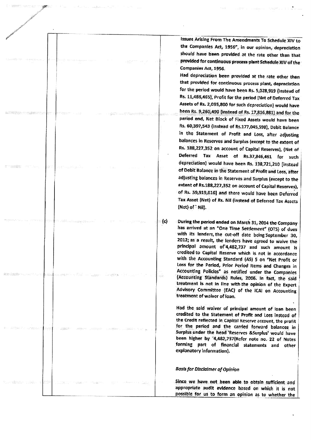Issues Arising From The Amendments To Schedule XIV to the Companies Act, 1956", in our opinion, depreciation should have been provided at the rate other than that provided for continuous process plant Schedule XIV of the Companies Act, 1956.

Had depreciation been provided at the rate other than that provided for continuous process plant, depreciation for the period would have been Rs. 5,028,919 (instead of Rs. 11,488,465), Profit for the period (Net of Deferred Tax Assets of Rs. 2,095,800 for such depreciation) would have been Rs. 9,260,490 (instead of Rs. 17,816,881) and for the period end, Net Block of Fixed Assets would have been Rs. 60,397,543 (instead of Rs.177,045,598), Debit Balance in the Statement of Profit and Loss, after adjusting balances in Reserves and Surplus (except to the extent of Rs. 188,227,352 on account of Capital Reserves), (Net of Deferred Tax Asset of Rs.37,846,461 for such depreciation) would have been Rs. 138,721,210 [instead of Debit Balance in the Statement of Profit and Loss, after adjusting balances in Reserves and Surplus (except to the extent of Rs.188,227,352 on account of Capital Reserves), of Rs. 59,919,616] and there would have been Deferred Tax Asset (Net) of Rs. Nil (instead of Deferred Tax Assets (Net) of ` Nil).

During the period ended on March 31, 2014 the Company has arrived at an "One Time Settlement" (OTS) of dues with its lenders, the cut-off date being September 30, 2012; as a result, the lenders have agreed to waive the principal amount of 4,482,737 and such amount is credited to Capital Reserve which is not in accordance with the Accounting Standard (AS) 5 on "Net Profit or Loss for the Period, Prior Period Items and Changes in Accounting Policies" as notified under the Companies (Accounting Standards) Rules, 2006. In fact, the said treatment is not in line with the opinion of the Expert Advisory Committee (EAC) of the ICAI on Accounting treatment of waiver of loan.

Had the said waiver of principal amount of loan been credited to the Statement of Profit and Loss instead of the Credit reflected in Capital Reserve account, the profit for the period and the carried forward balances in Surplus under the head 'Reserves &Surplus' would have been higher by '4,482,737(Refer note no. 22 of Notes forming part of financial statements and other explanatory information).

### **Basis for Disclaimer of Opinion**

 $\left( c \right)$ 

Since we have not been able to obtain sufficient and appropriate audit evidence based on which it is not possible for us to form an opinion as to whether the